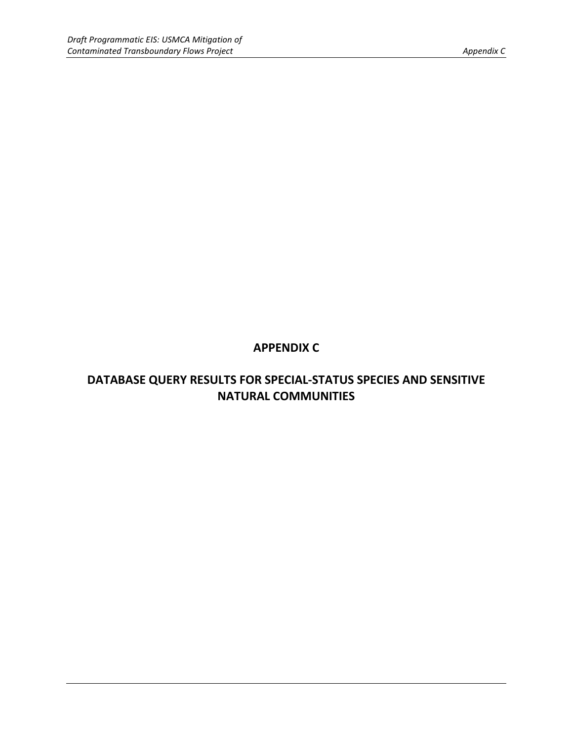# **APPENDIX C**

## **DATABASE QUERY RESULTS FOR SPECIAL-STATUS SPECIES AND SENSITIVE NATURAL COMMUNITIES**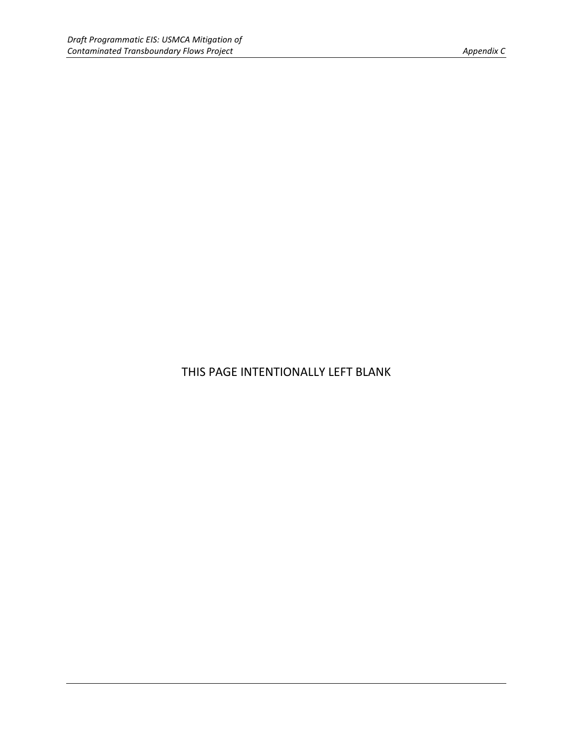# THIS PAGE INTENTIONALLY LEFT BLANK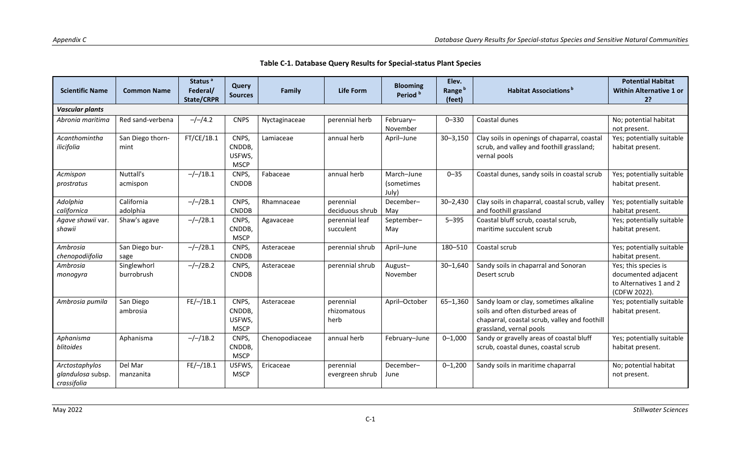| <b>Scientific Name</b>                             | <b>Common Name</b>        | Status <sup>a</sup><br>Federal/ | Query<br><b>Sources</b>                  | Family         | <b>Life Form</b>                 | <b>Blooming</b><br>Period <sup>b</sup> | Elev.<br>Range <sup>b</sup> | <b>Habitat Associations</b> b                                                                                                                            | <b>Potential Habitat</b><br><b>Within Alternative 1 or</b>                             |
|----------------------------------------------------|---------------------------|---------------------------------|------------------------------------------|----------------|----------------------------------|----------------------------------------|-----------------------------|----------------------------------------------------------------------------------------------------------------------------------------------------------|----------------------------------------------------------------------------------------|
| <b>Vascular plants</b>                             |                           | <b>State/CRPR</b>               |                                          |                |                                  |                                        | (feet)                      |                                                                                                                                                          | 2?                                                                                     |
| Abronia maritima                                   | Red sand-verbena          | $-/-/4.2$                       | <b>CNPS</b>                              | Nyctaginaceae  | perennial herb                   | February-<br>November                  | $0 - 330$                   | Coastal dunes                                                                                                                                            | No; potential habitat<br>not present.                                                  |
| Acanthomintha<br>ilicifolia                        | San Diego thorn-<br>mint  | FT/CE/1B.1                      | CNPS,<br>CNDDB,<br>USFWS,<br><b>MSCP</b> | Lamiaceae      | annual herb                      | April-June                             | $30 - 3,150$                | Clay soils in openings of chaparral, coastal<br>scrub, and valley and foothill grassland;<br>vernal pools                                                | Yes; potentially suitable<br>habitat present.                                          |
| Acmispon<br>prostratus                             | Nuttall's<br>acmispon     | $-/-/1B.1$                      | CNPS,<br><b>CNDDB</b>                    | Fabaceae       | annual herb                      | March-June<br>(sometimes<br>July)      | $0 - 35$                    | Coastal dunes, sandy soils in coastal scrub                                                                                                              | Yes; potentially suitable<br>habitat present.                                          |
| Adolphia<br>californica                            | California<br>adolphia    | $-/-/2B.1$                      | CNPS,<br><b>CNDDB</b>                    | Rhamnaceae     | perennial<br>deciduous shrub     | December-<br>May                       | $30 - 2,430$                | Clay soils in chaparral, coastal scrub, valley<br>and foothill grassland                                                                                 | Yes; potentially suitable<br>habitat present.                                          |
| Agave shawii var.<br>shawii                        | Shaw's agave              | $-/-/2B.1$                      | CNPS,<br>CNDDB,<br><b>MSCP</b>           | Agavaceae      | perennial leaf<br>succulent      | September-<br>May                      | $5 - 395$                   | Coastal bluff scrub, coastal scrub,<br>maritime succulent scrub                                                                                          | Yes; potentially suitable<br>habitat present.                                          |
| Ambrosia<br>chenopodiifolia                        | San Diego bur-<br>sage    | $-/-/2B.1$                      | CNPS,<br><b>CNDDB</b>                    | Asteraceae     | perennial shrub                  | April-June                             | 180-510                     | Coastal scrub                                                                                                                                            | Yes; potentially suitable<br>habitat present.                                          |
| Ambrosia<br>monogyra                               | Singlewhorl<br>burrobrush | $-/-/2B.2$                      | CNPS,<br><b>CNDDB</b>                    | Asteraceae     | perennial shrub                  | August-<br>November                    | $30 - 1,640$                | Sandy soils in chaparral and Sonoran<br>Desert scrub                                                                                                     | Yes; this species is<br>documented adjacent<br>to Alternatives 1 and 2<br>(CDFW 2022). |
| Ambrosia pumila                                    | San Diego<br>ambrosia     | $FE/-/1B.1$                     | CNPS,<br>CNDDB,<br>USFWS,<br><b>MSCP</b> | Asteraceae     | perennial<br>rhizomatous<br>herb | April-October                          | $65 - 1,360$                | Sandy loam or clay, sometimes alkaline<br>soils and often disturbed areas of<br>chaparral, coastal scrub, valley and foothill<br>grassland, vernal pools | Yes; potentially suitable<br>habitat present.                                          |
| Aphanisma<br>blitoides                             | Aphanisma                 | $-/-/1B.2$                      | CNPS,<br>CNDDB,<br><b>MSCP</b>           | Chenopodiaceae | annual herb                      | February-June                          | $0 - 1,000$                 | Sandy or gravelly areas of coastal bluff<br>scrub, coastal dunes, coastal scrub                                                                          | Yes; potentially suitable<br>habitat present.                                          |
| Arctostaphylos<br>glandulosa subsp.<br>crassifolia | Del Mar<br>manzanita      | $FE/-/1B.1$                     | USFWS,<br><b>MSCP</b>                    | Ericaceae      | perennial<br>evergreen shrub     | December-<br>June                      | $0 - 1,200$                 | Sandy soils in maritime chaparral                                                                                                                        | No; potential habitat<br>not present.                                                  |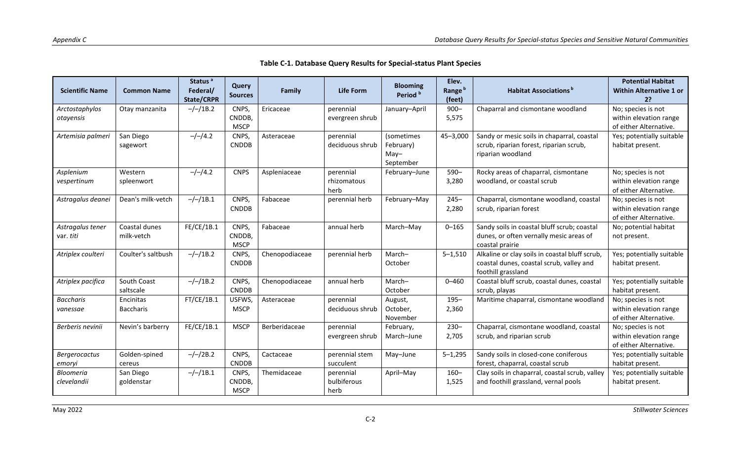| <b>Scientific Name</b>         | <b>Common Name</b>            | Status <sup>a</sup><br>Federal/<br><b>State/CRPR</b> | Query<br><b>Sources</b>        | Family         | <b>Life Form</b>                 | <b>Blooming</b><br>Period <sup>b</sup>         | Elev.<br>Range <sup>b</sup><br>(feet) | Habitat Associations <sup>b</sup>                                                                                | <b>Potential Habitat</b><br><b>Within Alternative 1 or</b><br>2?       |
|--------------------------------|-------------------------------|------------------------------------------------------|--------------------------------|----------------|----------------------------------|------------------------------------------------|---------------------------------------|------------------------------------------------------------------------------------------------------------------|------------------------------------------------------------------------|
| Arctostaphylos<br>otayensis    | Otay manzanita                | $-/-/1B.2$                                           | CNPS,<br>CNDDB,<br><b>MSCP</b> | Ericaceae      | perennial<br>evergreen shrub     | January-April                                  | $900 -$<br>5,575                      | Chaparral and cismontane woodland                                                                                | No; species is not<br>within elevation range<br>of either Alternative. |
| Artemisia palmeri              | San Diego<br>sagewort         | $-/-/4.2$                                            | CNPS,<br><b>CNDDB</b>          | Asteraceae     | perennial<br>deciduous shrub     | (sometimes<br>February)<br>$May-$<br>September | $45 - 3,000$                          | Sandy or mesic soils in chaparral, coastal<br>scrub, riparian forest, riparian scrub,<br>riparian woodland       | Yes; potentially suitable<br>habitat present.                          |
| Asplenium<br>vespertinum       | Western<br>spleenwort         | $-/-/4.2$                                            | <b>CNPS</b>                    | Aspleniaceae   | perennial<br>rhizomatous<br>herb | February-June                                  | $590 -$<br>3,280                      | Rocky areas of chaparral, cismontane<br>woodland, or coastal scrub                                               | No; species is not<br>within elevation range<br>of either Alternative. |
| Astragalus deanei              | Dean's milk-vetch             | $-/-/1B.1$                                           | CNPS,<br><b>CNDDB</b>          | Fabaceae       | perennial herb                   | February-May                                   | $245 -$<br>2,280                      | Chaparral, cismontane woodland, coastal<br>scrub, riparian forest                                                | No; species is not<br>within elevation range<br>of either Alternative. |
| Astragalus tener<br>var. titi  | Coastal dunes<br>milk-vetch   | FE/CE/1B.1                                           | CNPS,<br>CNDDB,<br><b>MSCP</b> | Fabaceae       | annual herb                      | March-May                                      | $0 - 165$                             | Sandy soils in coastal bluff scrub; coastal<br>dunes, or often vernally mesic areas of<br>coastal prairie        | No; potential habitat<br>not present.                                  |
| Atriplex coulteri              | Coulter's saltbush            | $-/-/1B.2$                                           | CNPS,<br><b>CNDDB</b>          | Chenopodiaceae | perennial herb                   | March-<br>October                              | $5 - 1,510$                           | Alkaline or clay soils in coastal bluff scrub,<br>coastal dunes, coastal scrub, valley and<br>foothill grassland | Yes; potentially suitable<br>habitat present.                          |
| Atriplex pacifica              | South Coast<br>saltscale      | $-/-/1B.2$                                           | CNPS,<br><b>CNDDB</b>          | Chenopodiaceae | annual herb                      | March-<br>October                              | $0 - 460$                             | Coastal bluff scrub, coastal dunes, coastal<br>scrub, playas                                                     | Yes; potentially suitable<br>habitat present.                          |
| <b>Baccharis</b><br>vanessae   | Encinitas<br><b>Baccharis</b> | FT/CE/1B.1                                           | USFWS,<br><b>MSCP</b>          | Asteraceae     | perennial<br>deciduous shrub     | August,<br>October.<br>November                | $195 -$<br>2,360                      | Maritime chaparral, cismontane woodland                                                                          | No; species is not<br>within elevation range<br>of either Alternative. |
| Berberis nevinii               | Nevin's barberry              | FE/CE/1B.1                                           | <b>MSCP</b>                    | Berberidaceae  | perennial<br>evergreen shrub     | February,<br>March-June                        | $230 -$<br>2,705                      | Chaparral, cismontane woodland, coastal<br>scrub, and riparian scrub                                             | No; species is not<br>within elevation range<br>of either Alternative. |
| <b>Bergerocactus</b><br>emoryi | Golden-spined<br>cereus       | $-/-/2B.2$                                           | CNPS,<br><b>CNDDB</b>          | Cactaceae      | perennial stem<br>succulent      | May-June                                       | $5 - 1,295$                           | Sandy soils in closed-cone coniferous<br>forest, chaparral, coastal scrub                                        | Yes; potentially suitable<br>habitat present.                          |
| Bloomeria<br>clevelandii       | San Diego<br>goldenstar       | $-/-/1B.1$                                           | CNPS,<br>CNDDB,<br><b>MSCP</b> | Themidaceae    | perennial<br>bulbiferous<br>herb | April-May                                      | $160 -$<br>1,525                      | Clay soils in chaparral, coastal scrub, valley<br>and foothill grassland, vernal pools                           | Yes; potentially suitable<br>habitat present.                          |

### **Table C-1. Database Query Results for Special-status Plant Species**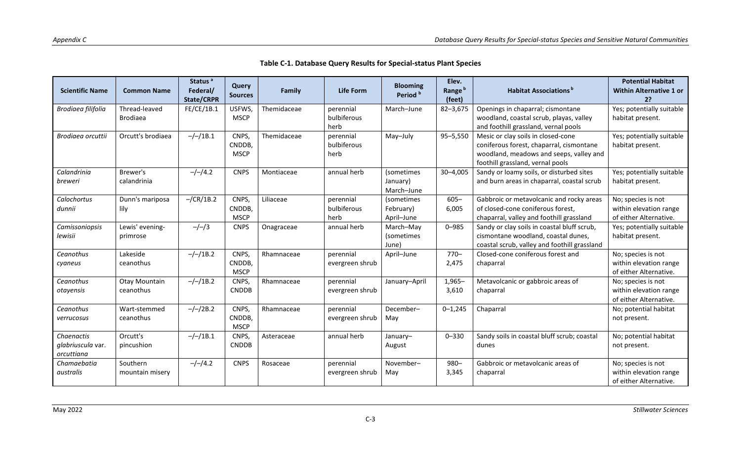| Appendix C |  |
|------------|--|
|------------|--|

|  | Table C-1. Database Query Results for Special-status Plant Species |  |  |  |  |
|--|--------------------------------------------------------------------|--|--|--|--|
|--|--------------------------------------------------------------------|--|--|--|--|

|                                               |                             | Status <sup>a</sup>           | Query                          |               |                                  | <b>Blooming</b>                       | Elev.                        |                                                                                                                                                               | <b>Potential Habitat</b>                                               |
|-----------------------------------------------|-----------------------------|-------------------------------|--------------------------------|---------------|----------------------------------|---------------------------------------|------------------------------|---------------------------------------------------------------------------------------------------------------------------------------------------------------|------------------------------------------------------------------------|
| <b>Scientific Name</b>                        | <b>Common Name</b>          | Federal/<br><b>State/CRPR</b> | <b>Sources</b>                 | <b>Family</b> | Life Form                        | Period <sup>b</sup>                   | Range <sup>b</sup><br>(feet) | Habitat Associations <sup>b</sup>                                                                                                                             | <b>Within Alternative 1 or</b><br>2?                                   |
| Brodiaea filifolia                            | Thread-leaved               | FE/CE/1B.1                    | USFWS,                         | Themidaceae   | perennial                        | March-June                            | $82 - 3,675$                 | Openings in chaparral; cismontane                                                                                                                             | Yes; potentially suitable                                              |
|                                               | <b>Brodiaea</b>             |                               | <b>MSCP</b>                    |               | bulbiferous<br>herb              |                                       |                              | woodland, coastal scrub, playas, valley<br>and foothill grassland, vernal pools                                                                               | habitat present.                                                       |
| Brodiaea orcuttii                             | Orcutt's brodiaea           | $-/-/1B.1$                    | CNPS,<br>CNDDB,<br><b>MSCP</b> | Themidaceae   | perennial<br>bulbiferous<br>herb | May-July                              | $95 - 5,550$                 | Mesic or clay soils in closed-cone<br>coniferous forest, chaparral, cismontane<br>woodland, meadows and seeps, valley and<br>foothill grassland, vernal pools | Yes; potentially suitable<br>habitat present.                          |
| Calandrinia<br>breweri                        | Brewer's<br>calandrinia     | $-/-/4.2$                     | <b>CNPS</b>                    | Montiaceae    | annual herb                      | (sometimes<br>January)<br>March-June  | $30 - 4,005$                 | Sandy or loamy soils, or disturbed sites<br>and burn areas in chaparral, coastal scrub                                                                        | Yes; potentially suitable<br>habitat present.                          |
| Calochortus<br>dunnii                         | Dunn's mariposa<br>lily     | $-/CR/1B.2$                   | CNPS,<br>CNDDB,<br><b>MSCP</b> | Liliaceae     | perennial<br>bulbiferous<br>herb | (sometimes<br>February)<br>April-June | $605 -$<br>6,005             | Gabbroic or metavolcanic and rocky areas<br>of closed-cone coniferous forest,<br>chaparral, valley and foothill grassland                                     | No; species is not<br>within elevation range<br>of either Alternative. |
| Camissoniopsis<br>lewisii                     | Lewis' evening-<br>primrose | $-/-/3$                       | <b>CNPS</b>                    | Onagraceae    | annual herb                      | March-May<br>(sometimes<br>June)      | $0 - 985$                    | Sandy or clay soils in coastal bluff scrub,<br>cismontane woodland, coastal dunes,<br>coastal scrub, valley and foothill grassland                            | Yes; potentially suitable<br>habitat present.                          |
| Ceanothus<br>cyaneus                          | Lakeside<br>ceanothus       | $-/-/1B.2$                    | CNPS,<br>CNDDB,<br><b>MSCP</b> | Rhamnaceae    | perennial<br>evergreen shrub     | April-June                            | $770 -$<br>2,475             | Closed-cone coniferous forest and<br>chaparral                                                                                                                | No; species is not<br>within elevation range<br>of either Alternative. |
| Ceanothus<br>otayensis                        | Otay Mountain<br>ceanothus  | $-/-/1B.2$                    | CNPS,<br><b>CNDDB</b>          | Rhamnaceae    | perennial<br>evergreen shrub     | January-April                         | $1,965 -$<br>3,610           | Metavolcanic or gabbroic areas of<br>chaparral                                                                                                                | No; species is not<br>within elevation range<br>of either Alternative. |
| Ceanothus<br>verrucosus                       | Wart-stemmed<br>ceanothus   | $-/-/2B.2$                    | CNPS,<br>CNDDB,<br><b>MSCP</b> | Rhamnaceae    | perennial<br>evergreen shrub     | December-<br>May                      | $0 - 1,245$                  | Chaparral                                                                                                                                                     | No; potential habitat<br>not present.                                  |
| Chaenactis<br>glabriuscula var.<br>orcuttiana | Orcutt's<br>pincushion      | $-/-/1B.1$                    | CNPS,<br><b>CNDDB</b>          | Asteraceae    | annual herb                      | January-<br>August                    | $0 - 330$                    | Sandy soils in coastal bluff scrub; coastal<br>dunes                                                                                                          | No; potential habitat<br>not present.                                  |
| Chamaebatia<br>australis                      | Southern<br>mountain misery | $-/-/4.2$                     | <b>CNPS</b>                    | Rosaceae      | perennial<br>evergreen shrub     | November-<br>May                      | $980 -$<br>3,345             | Gabbroic or metavolcanic areas of<br>chaparral                                                                                                                | No; species is not<br>within elevation range<br>of either Alternative. |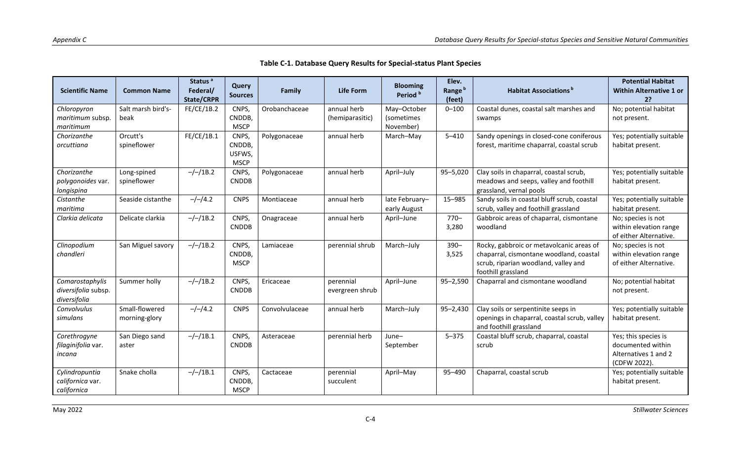| nendix C |  |  |  |
|----------|--|--|--|
|          |  |  |  |

| Table C-1. Database Query Results for Special-status Plant Species |
|--------------------------------------------------------------------|
|--------------------------------------------------------------------|

| <b>Scientific Name</b>                                 | <b>Common Name</b>              | Status <sup>a</sup><br>Federal/<br>State/CRPR | Query<br><b>Sources</b>                  | Family         | <b>Life Form</b>               | <b>Blooming</b><br>Period <sup>b</sup> | Elev.<br>Range <sup>b</sup><br>(feet) | <b>Habitat Associations</b> <sup>b</sup>                                                                                                          | <b>Potential Habitat</b><br><b>Within Alternative 1 or</b><br>2 <sup>2</sup>      |
|--------------------------------------------------------|---------------------------------|-----------------------------------------------|------------------------------------------|----------------|--------------------------------|----------------------------------------|---------------------------------------|---------------------------------------------------------------------------------------------------------------------------------------------------|-----------------------------------------------------------------------------------|
| Chloropyron<br>maritimum subsp.<br>maritimum           | Salt marsh bird's-<br>beak      | FE/CE/1B.2                                    | CNPS,<br>CNDDB,<br><b>MSCP</b>           | Orobanchaceae  | annual herb<br>(hemiparasitic) | May-October<br>(sometimes<br>November) | $0 - 100$                             | Coastal dunes, coastal salt marshes and<br>swamps                                                                                                 | No; potential habitat<br>not present.                                             |
| Chorizanthe<br>orcuttiana                              | Orcutt's<br>spineflower         | FE/CE/1B.1                                    | CNPS,<br>CNDDB,<br>USFWS,<br><b>MSCP</b> | Polygonaceae   | annual herb                    | March-May                              | $5 - 410$                             | Sandy openings in closed-cone coniferous<br>forest, maritime chaparral, coastal scrub                                                             | Yes; potentially suitable<br>habitat present.                                     |
| Chorizanthe<br>polygonoides var.<br>longispina         | Long-spined<br>spineflower      | $-/-/1B.2$                                    | CNPS,<br><b>CNDDB</b>                    | Polygonaceae   | annual herb                    | April-July                             | $95 - 5,020$                          | Clay soils in chaparral, coastal scrub,<br>meadows and seeps, valley and foothill<br>grassland, vernal pools                                      | Yes; potentially suitable<br>habitat present.                                     |
| Cistanthe<br>maritima                                  | Seaside cistanthe               | $-/-/4.2$                                     | <b>CNPS</b>                              | Montiaceae     | annual herb                    | late February-<br>early August         | 15-985                                | Sandy soils in coastal bluff scrub, coastal<br>scrub, valley and foothill grassland                                                               | Yes; potentially suitable<br>habitat present.                                     |
| Clarkia delicata                                       | Delicate clarkia                | $-/-/1B.2$                                    | CNPS,<br><b>CNDDB</b>                    | Onagraceae     | annual herb                    | April-June                             | $770-$<br>3,280                       | Gabbroic areas of chaparral, cismontane<br>woodland                                                                                               | No; species is not<br>within elevation range<br>of either Alternative.            |
| Clinopodium<br>chandleri                               | San Miguel savory               | $-/-/1B.2$                                    | CNPS,<br>CNDDB,<br><b>MSCP</b>           | Lamiaceae      | perennial shrub                | March-July                             | $390 -$<br>3,525                      | Rocky, gabbroic or metavolcanic areas of<br>chaparral, cismontane woodland, coastal<br>scrub, riparian woodland, valley and<br>foothill grassland | No; species is not<br>within elevation range<br>of either Alternative.            |
| Comarostaphylis<br>diversifolia subsp.<br>diversifolia | Summer holly                    | $-/-/1B.2$                                    | CNPS,<br><b>CNDDB</b>                    | Ericaceae      | perennial<br>evergreen shrub   | April-June                             | $95 - 2,590$                          | Chaparral and cismontane woodland                                                                                                                 | No; potential habitat<br>not present.                                             |
| Convolvulus<br>simulans                                | Small-flowered<br>morning-glory | $-/-/4.2$                                     | <b>CNPS</b>                              | Convolvulaceae | annual herb                    | March-July                             | $95 - 2,430$                          | Clay soils or serpentinite seeps in<br>openings in chaparral, coastal scrub, valley<br>and foothill grassland                                     | Yes; potentially suitable<br>habitat present.                                     |
| Corethrogyne<br>filaginifolia var.<br>incana           | San Diego sand<br>aster         | $-/-/1B.1$                                    | CNPS,<br><b>CNDDB</b>                    | Asteraceae     | perennial herb                 | June-<br>September                     | $5 - 375$                             | Coastal bluff scrub, chaparral, coastal<br>scrub                                                                                                  | Yes; this species is<br>documented within<br>Alternatives 1 and 2<br>(CDFW 2022). |
| Cylindropuntia<br>californica var.<br>californica      | Snake cholla                    | $-/-/1B.1$                                    | CNPS,<br>CNDDB,<br><b>MSCP</b>           | Cactaceae      | perennial<br>succulent         | April-May                              | 95-490                                | Chaparral, coastal scrub                                                                                                                          | Yes; potentially suitable<br>habitat present.                                     |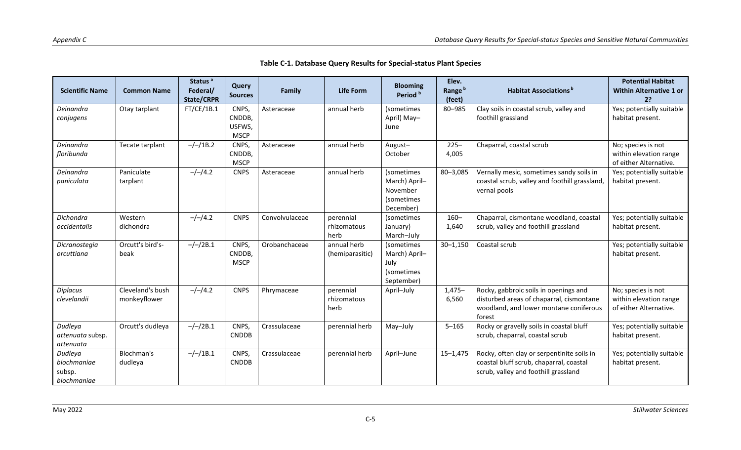| <b>Scientific Name</b>                          | <b>Common Name</b>               | Status <sup>a</sup><br>Federal/<br><b>State/CRPR</b> | Query<br><b>Sources</b>                  | Family         | <b>Life Form</b>                 | <b>Blooming</b><br>Period <sup>b</sup>                             | Elev.<br>Range <sup>b</sup><br>(feet) | <b>Habitat Associations</b> b                                                                                                         | <b>Potential Habitat</b><br><b>Within Alternative 1 or</b><br>2?       |
|-------------------------------------------------|----------------------------------|------------------------------------------------------|------------------------------------------|----------------|----------------------------------|--------------------------------------------------------------------|---------------------------------------|---------------------------------------------------------------------------------------------------------------------------------------|------------------------------------------------------------------------|
| Deinandra<br>conjugens                          | Otay tarplant                    | FT/CE/1B.1                                           | CNPS,<br>CNDDB,<br>USFWS,<br><b>MSCP</b> | Asteraceae     | annual herb                      | <i>(sometimes)</i><br>April) May-<br>June                          | 80-985                                | Clay soils in coastal scrub, valley and<br>foothill grassland                                                                         | Yes; potentially suitable<br>habitat present.                          |
| Deinandra<br>floribunda                         | Tecate tarplant                  | $-/-/1B.2$                                           | CNPS,<br>CNDDB,<br><b>MSCP</b>           | Asteraceae     | annual herb                      | August-<br>October                                                 | $225 -$<br>4,005                      | Chaparral, coastal scrub                                                                                                              | No; species is not<br>within elevation range<br>of either Alternative. |
| Deinandra<br>paniculata                         | Paniculate<br>tarplant           | $-/-/4.2$                                            | <b>CNPS</b>                              | Asteraceae     | annual herb                      | (sometimes<br>March) April-<br>November<br>(sometimes<br>December) | 80-3,085                              | Vernally mesic, sometimes sandy soils in<br>coastal scrub, valley and foothill grassland,<br>vernal pools                             | Yes; potentially suitable<br>habitat present.                          |
| Dichondra<br>occidentalis                       | Western<br>dichondra             | $-/-/4.2$                                            | <b>CNPS</b>                              | Convolvulaceae | perennial<br>rhizomatous<br>herb | <i>(sometimes)</i><br>January)<br>March-July                       | $160 -$<br>1,640                      | Chaparral, cismontane woodland, coastal<br>scrub, valley and foothill grassland                                                       | Yes; potentially suitable<br>habitat present.                          |
| Dicranostegia<br>orcuttiana                     | Orcutt's bird's-<br>beak         | $-/-/2B.1$                                           | CNPS,<br>CNDDB,<br><b>MSCP</b>           | Orobanchaceae  | annual herb<br>(hemiparasitic)   | (sometimes)<br>March) April-<br>July<br>(sometimes<br>September)   | $30 - 1,150$                          | Coastal scrub                                                                                                                         | Yes; potentially suitable<br>habitat present.                          |
| Diplacus<br>clevelandii                         | Cleveland's bush<br>monkeyflower | $-/-/4.2$                                            | <b>CNPS</b>                              | Phrymaceae     | perennial<br>rhizomatous<br>herb | April-July                                                         | $1,475-$<br>6,560                     | Rocky, gabbroic soils in openings and<br>disturbed areas of chaparral, cismontane<br>woodland, and lower montane coniferous<br>forest | No; species is not<br>within elevation range<br>of either Alternative. |
| Dudleya<br>attenuata subsp.<br>attenuata        | Orcutt's dudleya                 | $-/-/2B.1$                                           | CNPS,<br><b>CNDDB</b>                    | Crassulaceae   | perennial herb                   | May-July                                                           | $5 - 165$                             | Rocky or gravelly soils in coastal bluff<br>scrub, chaparral, coastal scrub                                                           | Yes; potentially suitable<br>habitat present.                          |
| Dudleya<br>blochmaniae<br>subsp.<br>blochmaniae | Blochman's<br>dudleya            | $-/-/1B.1$                                           | CNPS,<br><b>CNDDB</b>                    | Crassulaceae   | perennial herb                   | April-June                                                         | $15 - 1,475$                          | Rocky, often clay or serpentinite soils in<br>coastal bluff scrub, chaparral, coastal<br>scrub, valley and foothill grassland         | Yes; potentially suitable<br>habitat present.                          |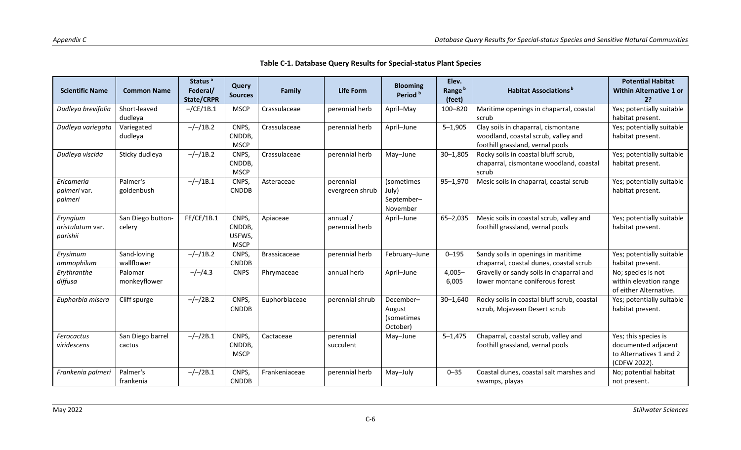| Appendix C |  |
|------------|--|

|                              |                            | Status <sup>a</sup>              | Query            |                     |                        | <b>Blooming</b>     | Elev.              |                                                                          | <b>Potential Habitat</b>                    |
|------------------------------|----------------------------|----------------------------------|------------------|---------------------|------------------------|---------------------|--------------------|--------------------------------------------------------------------------|---------------------------------------------|
| <b>Scientific Name</b>       | <b>Common Name</b>         | Federal/                         | <b>Sources</b>   | Family              | <b>Life Form</b>       | Period <sup>b</sup> | Range <sup>b</sup> | <b>Habitat Associations</b> b                                            | <b>Within Alternative 1 or</b>              |
| Dudleya brevifolia           | Short-leaved               | <b>State/CRPR</b><br>$-/CE/1B.1$ | <b>MSCP</b>      | Crassulaceae        | perennial herb         | April-May           | (feet)<br>100-820  | Maritime openings in chaparral, coastal                                  | 2?<br>Yes; potentially suitable             |
|                              | dudleya                    |                                  |                  |                     |                        |                     |                    | scrub                                                                    | habitat present.                            |
| Dudleya variegata            | Variegated                 | $-/-/1B.2$                       | CNPS,            | Crassulaceae        | perennial herb         | April-June          | $5 - 1,905$        | Clay soils in chaparral, cismontane                                      | Yes; potentially suitable                   |
|                              | dudleya                    |                                  | CNDDB,           |                     |                        |                     |                    | woodland, coastal scrub, valley and                                      | habitat present.                            |
|                              |                            |                                  | <b>MSCP</b>      |                     |                        |                     |                    | foothill grassland, vernal pools                                         |                                             |
| Dudleya viscida              | Sticky dudleya             | $-/-/1B.2$                       | CNPS,            | Crassulaceae        | perennial herb         | May-June            | $30 - 1,805$       | Rocky soils in coastal bluff scrub,                                      | Yes; potentially suitable                   |
|                              |                            |                                  | CNDDB,           |                     |                        |                     |                    | chaparral, cismontane woodland, coastal                                  | habitat present.                            |
|                              |                            |                                  | <b>MSCP</b>      |                     |                        |                     |                    | scrub                                                                    |                                             |
| Ericameria                   | Palmer's                   | $-/-/1B.1$                       | CNPS.            | Asteraceae          | perennial              | <i>(sometimes)</i>  | $95 - 1,970$       | Mesic soils in chaparral, coastal scrub                                  | Yes; potentially suitable                   |
| palmeri var.                 | goldenbush                 |                                  | <b>CNDDB</b>     |                     | evergreen shrub        | July)               |                    |                                                                          | habitat present.                            |
| palmeri                      |                            |                                  |                  |                     |                        | September-          |                    |                                                                          |                                             |
|                              |                            |                                  |                  |                     |                        | November            |                    |                                                                          |                                             |
| Eryngium                     | San Diego button-          | FE/CE/1B.1                       | CNPS,            | Apiaceae            | annual /               | April-June          | $65 - 2,035$       | Mesic soils in coastal scrub, valley and                                 | Yes; potentially suitable                   |
| aristulatum var.<br>parishii | celery                     |                                  | CNDDB,<br>USFWS, |                     | perennial herb         |                     |                    | foothill grassland, vernal pools                                         | habitat present.                            |
|                              |                            |                                  | <b>MSCP</b>      |                     |                        |                     |                    |                                                                          |                                             |
| Erysimum                     | Sand-loving                | $-/-/1B.2$                       | CNPS,            | <b>Brassicaceae</b> | perennial herb         | February-June       | $0 - 195$          | Sandy soils in openings in maritime                                      | Yes; potentially suitable                   |
| ammophilum                   | wallflower                 |                                  | <b>CNDDB</b>     |                     |                        |                     |                    | chaparral, coastal dunes, coastal scrub                                  | habitat present.                            |
| Erythranthe                  | Palomar                    | $-/-/4.3$                        | <b>CNPS</b>      | Phrymaceae          | annual herb            | April-June          | $4,005 -$          | Gravelly or sandy soils in chaparral and                                 | No; species is not                          |
| diffusa                      | monkeyflower               |                                  |                  |                     |                        |                     | 6,005              | lower montane coniferous forest                                          | within elevation range                      |
|                              |                            |                                  |                  |                     |                        |                     |                    |                                                                          | of either Alternative.                      |
| Euphorbia misera             | Cliff spurge               | $-/-/2B.2$                       | CNPS,            | Euphorbiaceae       | perennial shrub        | December-           | $30 - 1,640$       | Rocky soils in coastal bluff scrub, coastal                              | Yes; potentially suitable                   |
|                              |                            |                                  | <b>CNDDB</b>     |                     |                        | August              |                    | scrub, Mojavean Desert scrub                                             | habitat present.                            |
|                              |                            |                                  |                  |                     |                        | (sometimes          |                    |                                                                          |                                             |
|                              |                            |                                  |                  |                     |                        | October)            |                    |                                                                          |                                             |
| Ferocactus<br>viridescens    | San Diego barrel<br>cactus | $-/-/2B.1$                       | CNPS,<br>CNDDB,  | Cactaceae           | perennial<br>succulent | May-June            | $5 - 1,475$        | Chaparral, coastal scrub, valley and<br>foothill grassland, vernal pools | Yes; this species is<br>documented adjacent |
|                              |                            |                                  | <b>MSCP</b>      |                     |                        |                     |                    |                                                                          | to Alternatives 1 and 2                     |
|                              |                            |                                  |                  |                     |                        |                     |                    |                                                                          | (CDFW 2022).                                |
| Frankenia palmeri            | Palmer's                   | $-/-/2B.1$                       | CNPS,            | Frankeniaceae       | perennial herb         | May-July            | $0 - 35$           | Coastal dunes, coastal salt marshes and                                  | No; potential habitat                       |
|                              | frankenia                  |                                  | <b>CNDDB</b>     |                     |                        |                     |                    | swamps, playas                                                           | not present.                                |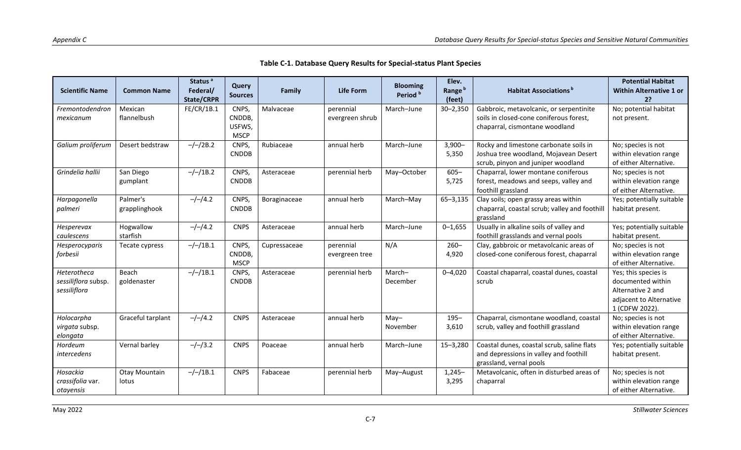|  |  |  | Appendix C |  |
|--|--|--|------------|--|
|  |  |  |            |  |

|  | Table C-1. Database Query Results for Special-status Plant Species |  |  |  |
|--|--------------------------------------------------------------------|--|--|--|
|--|--------------------------------------------------------------------|--|--|--|

| <b>Scientific Name</b> | <b>Common Name</b>   | Status <sup>a</sup><br>Federal/ | Query          | Family       | <b>Life Form</b> | <b>Blooming</b>     | Elev.<br>Range <sup>b</sup> | <b>Habitat Associations</b> b                 | <b>Potential Habitat</b><br><b>Within Alternative 1 or</b> |
|------------------------|----------------------|---------------------------------|----------------|--------------|------------------|---------------------|-----------------------------|-----------------------------------------------|------------------------------------------------------------|
|                        |                      | <b>State/CRPR</b>               | <b>Sources</b> |              |                  | Period <sup>b</sup> | (feet)                      |                                               | 22                                                         |
| Fremontodendron        | Mexican              | FE/CR/1B.1                      | CNPS,          | Malvaceae    | perennial        | March-June          | $30 - 2,350$                | Gabbroic, metavolcanic, or serpentinite       | No; potential habitat                                      |
| mexicanum              | flannelbush          |                                 | CNDDB,         |              | evergreen shrub  |                     |                             | soils in closed-cone coniferous forest,       | not present.                                               |
|                        |                      |                                 | USFWS,         |              |                  |                     |                             | chaparral, cismontane woodland                |                                                            |
|                        |                      |                                 | <b>MSCP</b>    |              |                  |                     |                             |                                               |                                                            |
| Galium proliferum      | Desert bedstraw      | $-/-/2B.2$                      | CNPS,          | Rubiaceae    | annual herb      | March-June          | $3,900 -$                   | Rocky and limestone carbonate soils in        | No; species is not                                         |
|                        |                      |                                 | <b>CNDDB</b>   |              |                  |                     | 5,350                       | Joshua tree woodland, Mojavean Desert         | within elevation range                                     |
|                        |                      |                                 |                |              |                  |                     |                             | scrub, pinyon and juniper woodland            | of either Alternative.                                     |
| Grindelia hallii       | San Diego            | $-/-/1B.2$                      | CNPS,          | Asteraceae   | perennial herb   | May-October         | $605 -$                     | Chaparral, lower montane coniferous           | No; species is not                                         |
|                        | gumplant             |                                 | <b>CNDDB</b>   |              |                  |                     | 5,725                       | forest, meadows and seeps, valley and         | within elevation range                                     |
|                        |                      |                                 |                |              |                  |                     |                             | foothill grassland                            | of either Alternative.                                     |
| Harpagonella           | Palmer's             | $-/-/4.2$                       | CNPS,          | Boraginaceae | annual herb      | March-May           | $65 - 3,135$                | Clay soils; open grassy areas within          | Yes; potentially suitable                                  |
| palmeri                | grapplinghook        |                                 | <b>CNDDB</b>   |              |                  |                     |                             | chaparral, coastal scrub; valley and foothill | habitat present.                                           |
|                        |                      |                                 |                |              |                  |                     |                             | grassland                                     |                                                            |
| Hesperevax             | Hogwallow            | $-/-/4.2$                       | <b>CNPS</b>    | Asteraceae   | annual herb      | March-June          | $0 - 1,655$                 | Usually in alkaline soils of valley and       | Yes; potentially suitable                                  |
| caulescens             | starfish             |                                 |                |              |                  |                     |                             | foothill grasslands and vernal pools          | habitat present.                                           |
| Hesperocyparis         | Tecate cypress       | $-/-/1B.1$                      | CNPS,          | Cupressaceae | perennial        | N/A                 | $260 -$                     | Clay, gabbroic or metavolcanic areas of       | No; species is not                                         |
| forbesii               |                      |                                 | CNDDB,         |              | evergreen tree   |                     | 4,920                       | closed-cone coniferous forest, chaparral      | within elevation range                                     |
|                        |                      |                                 | <b>MSCP</b>    |              |                  |                     |                             |                                               | of either Alternative.                                     |
| Heterotheca            | Beach                | $-/-/1B.1$                      | CNPS,          | Asteraceae   | perennial herb   | March-              | $0 - 4,020$                 | Coastal chaparral, coastal dunes, coastal     | Yes; this species is                                       |
| sessiliflora subsp.    | goldenaster          |                                 | <b>CNDDB</b>   |              |                  | December            |                             | scrub                                         | documented within                                          |
| sessiliflora           |                      |                                 |                |              |                  |                     |                             |                                               | Alternative 2 and                                          |
|                        |                      |                                 |                |              |                  |                     |                             |                                               | adjacent to Alternative                                    |
|                        |                      |                                 |                |              |                  |                     |                             |                                               | 1 (CDFW 2022).                                             |
| Holocarpha             | Graceful tarplant    | $-/-/4.2$                       | <b>CNPS</b>    | Asteraceae   | annual herb      | $May-$              | $195 -$                     | Chaparral, cismontane woodland, coastal       | No; species is not                                         |
| virgata subsp.         |                      |                                 |                |              |                  | November            | 3,610                       | scrub, valley and foothill grassland          | within elevation range                                     |
| elongata               |                      |                                 |                |              |                  |                     |                             |                                               | of either Alternative.                                     |
| Hordeum                | Vernal barley        | $-/-/3.2$                       | <b>CNPS</b>    | Poaceae      | annual herb      | March-June          | $15 - 3,280$                | Coastal dunes, coastal scrub, saline flats    | Yes; potentially suitable                                  |
| intercedens            |                      |                                 |                |              |                  |                     |                             | and depressions in valley and foothill        | habitat present.                                           |
|                        |                      |                                 |                |              |                  |                     |                             | grassland, vernal pools                       |                                                            |
| Hosackia               | <b>Otay Mountain</b> | $-/-/1B.1$                      | <b>CNPS</b>    | Fabaceae     | perennial herb   | May-August          | $1,245-$                    | Metavolcanic, often in disturbed areas of     | No; species is not                                         |
| crassifolia var.       | lotus                |                                 |                |              |                  |                     | 3,295                       | chaparral                                     | within elevation range                                     |
| otayensis              |                      |                                 |                |              |                  |                     |                             |                                               | of either Alternative.                                     |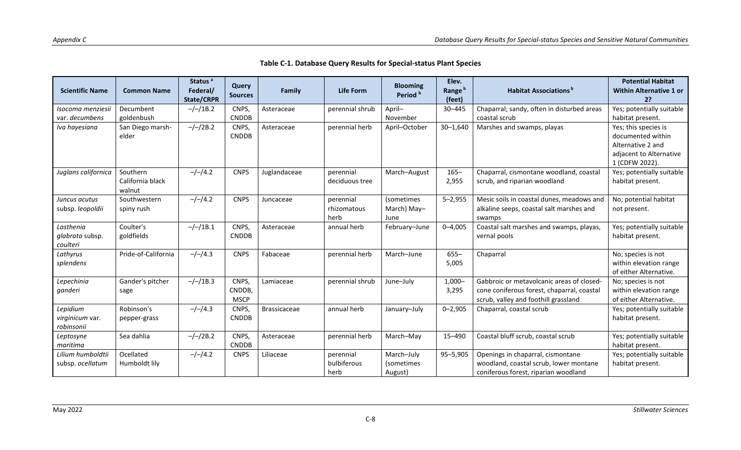|                                           |                                        | Status <sup>a</sup>           | Query                          |                     |                                  | <b>Blooming</b>                     | Elev.                        |                                                                                                                                 | <b>Potential Habitat</b>                                                                                    |
|-------------------------------------------|----------------------------------------|-------------------------------|--------------------------------|---------------------|----------------------------------|-------------------------------------|------------------------------|---------------------------------------------------------------------------------------------------------------------------------|-------------------------------------------------------------------------------------------------------------|
| <b>Scientific Name</b>                    | <b>Common Name</b>                     | Federal/<br><b>State/CRPR</b> | <b>Sources</b>                 | Family              | <b>Life Form</b>                 | Period <sup>b</sup>                 | Range <sup>b</sup><br>(feet) | <b>Habitat Associations</b> <sup>b</sup>                                                                                        | <b>Within Alternative 1 or</b><br>2?                                                                        |
| Isocoma menziesii                         | Decumbent                              | $-/-/1B.2$                    | CNPS,                          | Asteraceae          | perennial shrub                  | April-                              | $30 - 445$                   | Chaparral; sandy, often in disturbed areas                                                                                      | Yes; potentially suitable                                                                                   |
| var. decumbens                            | goldenbush                             |                               | <b>CNDDB</b>                   |                     |                                  | November                            |                              | coastal scrub                                                                                                                   | habitat present.                                                                                            |
| Iva hayesiana                             | San Diego marsh-<br>elder              | $-/-/2B.2$                    | CNPS,<br><b>CNDDB</b>          | Asteraceae          | perennial herb                   | April-October                       | $30 - 1,640$                 | Marshes and swamps, playas                                                                                                      | Yes; this species is<br>documented within<br>Alternative 2 and<br>adjacent to Alternative<br>1 (CDFW 2022). |
| Juglans californica                       | Southern<br>California black<br>walnut | $-/-/4.2$                     | <b>CNPS</b>                    | Juglandaceae        | perennial<br>deciduous tree      | March-August                        | $165 -$<br>2,955             | Chaparral, cismontane woodland, coastal<br>scrub, and riparian woodland                                                         | Yes; potentially suitable<br>habitat present.                                                               |
| Juncus acutus<br>subsp. leopoldii         | Southwestern<br>spiny rush             | $-/-/4.2$                     | <b>CNPS</b>                    | Juncaceae           | perennial<br>rhizomatous<br>herb | (sometimes<br>March) May-<br>June   | $5 - 2,955$                  | Mesic soils in coastal dunes, meadows and<br>alkaline seeps, coastal salt marshes and<br>swamps                                 | No; potential habitat<br>not present.                                                                       |
| Lasthenia<br>glabrata subsp.<br>coulteri  | Coulter's<br>goldfields                | $-/-/1B.1$                    | CNPS,<br><b>CNDDB</b>          | Asteraceae          | annual herb                      | February-June                       | $0 - 4,005$                  | Coastal salt marshes and swamps, playas,<br>vernal pools                                                                        | Yes; potentially suitable<br>habitat present.                                                               |
| Lathyrus<br>splendens                     | Pride-of-California                    | $-/-/4.3$                     | <b>CNPS</b>                    | Fabaceae            | perennial herb                   | March-June                          | $655 -$<br>5,005             | Chaparral                                                                                                                       | No; species is not<br>within elevation range<br>of either Alternative.                                      |
| Lepechinia<br>ganderi                     | Gander's pitcher<br>sage               | $-/-/1B.3$                    | CNPS,<br>CNDDB,<br><b>MSCP</b> | Lamiaceae           | perennial shrub                  | June-July                           | $1,000 -$<br>3,295           | Gabbroic or metavolcanic areas of closed-<br>cone coniferous forest, chaparral, coastal<br>scrub, valley and foothill grassland | No; species is not<br>within elevation range<br>of either Alternative.                                      |
| Lepidium<br>virginicum var.<br>robinsonii | Robinson's<br>pepper-grass             | $-/-/4.3$                     | CNPS,<br><b>CNDDB</b>          | <b>Brassicaceae</b> | annual herb                      | January-July                        | $0 - 2,905$                  | Chaparral, coastal scrub                                                                                                        | Yes; potentially suitable<br>habitat present.                                                               |
| Leptosyne<br>maritima                     | Sea dahlia                             | $-/-/2B.2$                    | CNPS,<br><b>CNDDB</b>          | Asteraceae          | perennial herb                   | March-May                           | 15-490                       | Coastal bluff scrub, coastal scrub                                                                                              | Yes; potentially suitable<br>habitat present.                                                               |
| Lilium humboldtii<br>subsp. ocellatum     | Ocellated<br>Humboldt lily             | $-/-/4.2$                     | <b>CNPS</b>                    | Liliaceae           | perennial<br>bulbiferous<br>herb | March-July<br>(sometimes<br>August) | 95-5,905                     | Openings in chaparral, cismontane<br>woodland, coastal scrub, lower montane<br>coniferous forest, riparian woodland             | Yes; potentially suitable<br>habitat present.                                                               |

 $\mathbb{R}^n$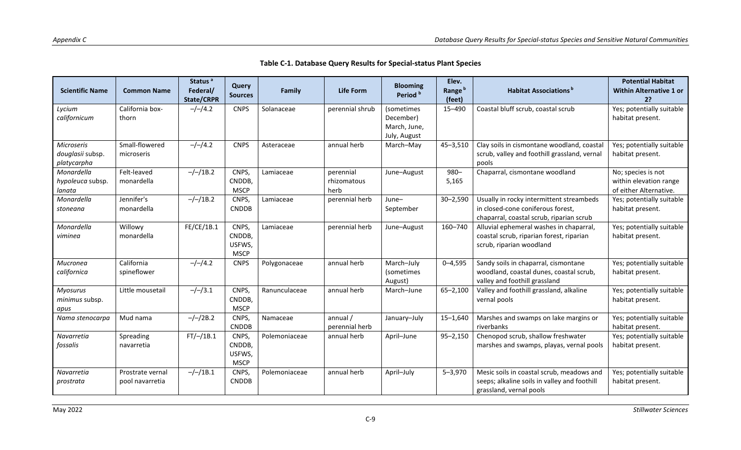| Table C-1. Database Query Results for Special-status Plant Species |  |
|--------------------------------------------------------------------|--|
|--------------------------------------------------------------------|--|

| <b>Scientific Name</b>                        | <b>Common Name</b>                  | Status <sup>a</sup><br>Federal/ | Query                                    | Family        | <b>Life Form</b>                 | <b>Blooming</b>                         | Elev.<br>Range <sup>b</sup> | <b>Habitat Associations</b> <sup>b</sup>                                                                                  | <b>Potential Habitat</b><br><b>Within Alternative 1 or</b>             |
|-----------------------------------------------|-------------------------------------|---------------------------------|------------------------------------------|---------------|----------------------------------|-----------------------------------------|-----------------------------|---------------------------------------------------------------------------------------------------------------------------|------------------------------------------------------------------------|
|                                               |                                     | State/CRPR                      | <b>Sources</b>                           |               |                                  | Period b                                | (feet)                      |                                                                                                                           | 2?                                                                     |
| Lycium<br>californicum                        | California box-<br>thorn            | $-/-/4.2$                       | <b>CNPS</b>                              | Solanaceae    | perennial shrub                  | (sometimes<br>December)<br>March, June, | 15-490                      | Coastal bluff scrub, coastal scrub                                                                                        | Yes; potentially suitable<br>habitat present.                          |
| Microseris<br>douglasii subsp.<br>platycarpha | Small-flowered<br>microseris        | $-/-/4.2$                       | <b>CNPS</b>                              | Asteraceae    | annual herb                      | July, August<br>March-May               | $45 - 3,510$                | Clay soils in cismontane woodland, coastal<br>scrub, valley and foothill grassland, vernal<br>pools                       | Yes; potentially suitable<br>habitat present.                          |
| Monardella<br>hypoleuca subsp.<br>lanata      | Felt-leaved<br>monardella           | $-/-/1B.2$                      | CNPS,<br>CNDDB,<br><b>MSCP</b>           | Lamiaceae     | perennial<br>rhizomatous<br>herb | June-August                             | $980 -$<br>5,165            | Chaparral, cismontane woodland                                                                                            | No; species is not<br>within elevation range<br>of either Alternative. |
| Monardella<br>stoneana                        | Jennifer's<br>monardella            | $-/-/1B.2$                      | CNPS,<br><b>CNDDB</b>                    | Lamiaceae     | perennial herb                   | June-<br>September                      | $30 - 2,590$                | Usually in rocky intermittent streambeds<br>in closed-cone coniferous forest,<br>chaparral, coastal scrub, riparian scrub | Yes; potentially suitable<br>habitat present.                          |
| Monardella<br>viminea                         | Willowy<br>monardella               | FE/CE/1B.1                      | CNPS,<br>CNDDB,<br>USFWS,<br><b>MSCP</b> | Lamiaceae     | perennial herb                   | June-August                             | 160-740                     | Alluvial ephemeral washes in chaparral,<br>coastal scrub, riparian forest, riparian<br>scrub, riparian woodland           | Yes; potentially suitable<br>habitat present.                          |
| Mucronea<br>californica                       | California<br>spineflower           | $-/-/4.2$                       | <b>CNPS</b>                              | Polygonaceae  | annual herb                      | March-July<br>(sometimes<br>August)     | $0 - 4,595$                 | Sandy soils in chaparral, cismontane<br>woodland, coastal dunes, coastal scrub,<br>valley and foothill grassland          | Yes; potentially suitable<br>habitat present.                          |
| <b>Myosurus</b><br>minimus subsp.<br>apus     | Little mousetail                    | $-/-/3.1$                       | CNPS,<br>CNDDB,<br><b>MSCP</b>           | Ranunculaceae | annual herb                      | March-June                              | $65 - 2,100$                | Valley and foothill grassland, alkaline<br>vernal pools                                                                   | Yes; potentially suitable<br>habitat present.                          |
| Nama stenocarpa                               | Mud nama                            | $-/-/2B.2$                      | CNPS,<br><b>CNDDB</b>                    | Namaceae      | annual /<br>perennial herb       | January-July                            | $15 - 1,640$                | Marshes and swamps on lake margins or<br>riverbanks                                                                       | Yes; potentially suitable<br>habitat present.                          |
| Navarretia<br>fossalis                        | Spreading<br>navarretia             | $FT/-/1B.1$                     | CNPS,<br>CNDDB,<br>USFWS,<br><b>MSCP</b> | Polemoniaceae | annual herb                      | April-June                              | $95 - 2,150$                | Chenopod scrub, shallow freshwater<br>marshes and swamps, playas, vernal pools                                            | Yes; potentially suitable<br>habitat present.                          |
| Navarretia<br>prostrata                       | Prostrate vernal<br>pool navarretia | $-/-/1B.1$                      | CNPS,<br><b>CNDDB</b>                    | Polemoniaceae | annual herb                      | April-July                              | $5 - 3,970$                 | Mesic soils in coastal scrub, meadows and<br>seeps; alkaline soils in valley and foothill<br>grassland, vernal pools      | Yes; potentially suitable<br>habitat present.                          |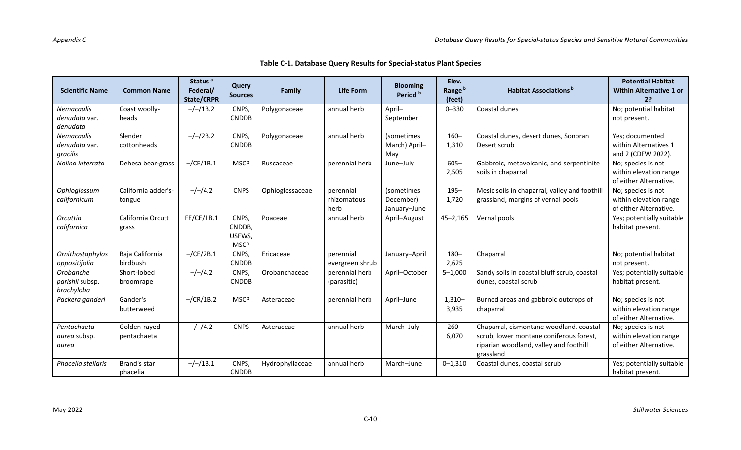| pendix C |  |  |  |
|----------|--|--|--|

|                                                |                               | Status <sup>a</sup>           | Query                                    |                 |                                  | <b>Blooming</b>                         | Elev.                        |                                                                                                                                           | <b>Potential Habitat</b>                                               |
|------------------------------------------------|-------------------------------|-------------------------------|------------------------------------------|-----------------|----------------------------------|-----------------------------------------|------------------------------|-------------------------------------------------------------------------------------------------------------------------------------------|------------------------------------------------------------------------|
| <b>Scientific Name</b>                         | <b>Common Name</b>            | Federal/<br><b>State/CRPR</b> | <b>Sources</b>                           | Family          | <b>Life Form</b>                 | Period <sup>b</sup>                     | Range <sup>b</sup><br>(feet) | <b>Habitat Associations</b> b                                                                                                             | <b>Within Alternative 1 or</b><br>2?                                   |
| <b>Nemacaulis</b><br>denudata var.<br>denudata | Coast woolly-<br>heads        | $-/-/1B.2$                    | CNPS,<br><b>CNDDB</b>                    | Polygonaceae    | annual herb                      | April-<br>September                     | $0 - 330$                    | Coastal dunes                                                                                                                             | No; potential habitat<br>not present.                                  |
| Nemacaulis<br>denudata var.<br>gracilis        | Slender<br>cottonheads        | $-/-/2B.2$                    | CNPS,<br><b>CNDDB</b>                    | Polygonaceae    | annual herb                      | (sometimes<br>March) April-<br>May      | $160 -$<br>1,310             | Coastal dunes, desert dunes, Sonoran<br>Desert scrub                                                                                      | Yes; documented<br>within Alternatives 1<br>and 2 (CDFW 2022).         |
| Nolina interrata                               | Dehesa bear-grass             | $-/CE/1B.1$                   | <b>MSCP</b>                              | Ruscaceae       | perennial herb                   | June-July                               | $605 -$<br>2,505             | Gabbroic, metavolcanic, and serpentinite<br>soils in chaparral                                                                            | No; species is not<br>within elevation range<br>of either Alternative. |
| Ophioglossum<br>californicum                   | California adder's-<br>tongue | $-/-/4.2$                     | <b>CNPS</b>                              | Ophioglossaceae | perennial<br>rhizomatous<br>herb | (sometimes<br>December)<br>January-June | $195 -$<br>1,720             | Mesic soils in chaparral, valley and foothill<br>grassland, margins of vernal pools                                                       | No; species is not<br>within elevation range<br>of either Alternative. |
| Orcuttia<br>californica                        | California Orcutt<br>grass    | FE/CE/1B.1                    | CNPS,<br>CNDDB,<br>USFWS,<br><b>MSCP</b> | Poaceae         | annual herb                      | April-August                            | $45 - 2,165$                 | Vernal pools                                                                                                                              | Yes; potentially suitable<br>habitat present.                          |
| Ornithostaphylos<br>oppositifolia              | Baja California<br>birdbush   | $-/CE/2B.1$                   | CNPS,<br><b>CNDDB</b>                    | Ericaceae       | perennial<br>evergreen shrub     | January-April                           | $180 -$<br>2,625             | Chaparral                                                                                                                                 | No; potential habitat<br>not present.                                  |
| Orobanche<br>parishii subsp.<br>brachyloba     | Short-lobed<br>broomrape      | $-/-/4.2$                     | CNPS,<br><b>CNDDB</b>                    | Orobanchaceae   | perennial herb<br>(parasitic)    | April-October                           | $5 - 1,000$                  | Sandy soils in coastal bluff scrub, coastal<br>dunes, coastal scrub                                                                       | Yes; potentially suitable<br>habitat present.                          |
| Packera ganderi                                | Gander's<br>butterweed        | $-/CR/1B.2$                   | <b>MSCP</b>                              | Asteraceae      | perennial herb                   | April-June                              | $1,310-$<br>3,935            | Burned areas and gabbroic outcrops of<br>chaparral                                                                                        | No; species is not<br>within elevation range<br>of either Alternative. |
| Pentachaeta<br>aurea subsp.<br>aurea           | Golden-rayed<br>pentachaeta   | $-/-/4.2$                     | <b>CNPS</b>                              | Asteraceae      | annual herb                      | March-July                              | $260 -$<br>6,070             | Chaparral, cismontane woodland, coastal<br>scrub, lower montane coniferous forest,<br>riparian woodland, valley and foothill<br>grassland | No; species is not<br>within elevation range<br>of either Alternative. |
| Phacelia stellaris                             | Brand's star<br>phacelia      | $-/-/1B.1$                    | CNPS,<br><b>CNDDB</b>                    | Hydrophyllaceae | annual herb                      | March-June                              | $0 - 1,310$                  | Coastal dunes, coastal scrub                                                                                                              | Yes; potentially suitable<br>habitat present.                          |

|  |  |  |  | Table C-1. Database Query Results for Special-status Plant Species |  |
|--|--|--|--|--------------------------------------------------------------------|--|
|--|--|--|--|--------------------------------------------------------------------|--|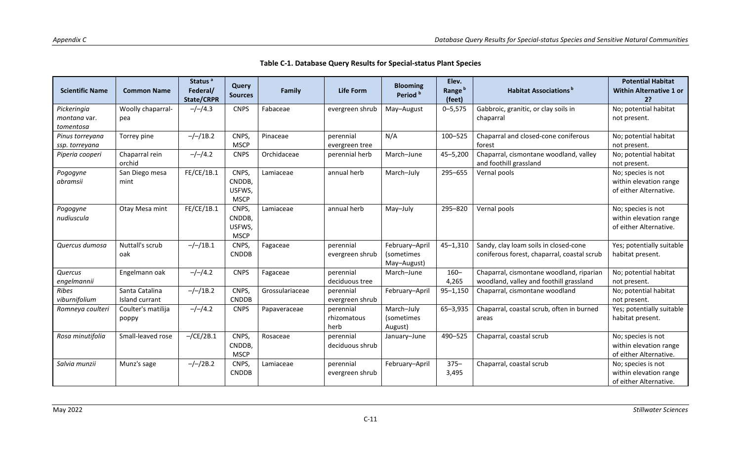|                        |                    |                                                      |                         | Table C-1. Database Query Results for Special-status Plant Species |                              |                                        |                                       |                   |
|------------------------|--------------------|------------------------------------------------------|-------------------------|--------------------------------------------------------------------|------------------------------|----------------------------------------|---------------------------------------|-------------------|
| <b>Scientific Name</b> | <b>Common Name</b> | Status <sup>a</sup><br>Federal/<br><b>State/CRPR</b> | Query<br><b>Sources</b> | Family                                                             | Life Form                    | <b>Blooming</b><br>Period <sup>b</sup> | Elev.<br>Range <sup>b</sup><br>(feet) | <b>Habitat</b>    |
| Pickeringia            | Moolly chanarral-  | $-/-/4$ 3                                            | <b>CNDS</b>             | <b>Eahareae</b>                                                    | Avergreen shruh   May-August |                                        | $0 - 5575$                            | Gabbroic granitic |

| <b>Scientific Name</b>                          | <b>Common Name</b>               | Status <sup>a</sup><br>Federal/<br><b>State/CRPR</b> | Query<br><b>Sources</b>                  | Family          | <b>Life Form</b>                 | <b>Blooming</b><br>Period <sup>b</sup>      | Elev.<br>Range <sup>b</sup><br>(feet) | <b>Habitat Associations</b> b                                                        | <b>Potential Habitat</b><br><b>Within Alternative 1 or</b><br>2?       |
|-------------------------------------------------|----------------------------------|------------------------------------------------------|------------------------------------------|-----------------|----------------------------------|---------------------------------------------|---------------------------------------|--------------------------------------------------------------------------------------|------------------------------------------------------------------------|
| Pickeringia<br><i>montana</i> var.<br>tomentosa | Woolly chaparral-<br>pea         | $-/-/4.3$                                            | <b>CNPS</b>                              | Fabaceae        | evergreen shrub                  | May-August                                  | $0 - 5,575$                           | Gabbroic, granitic, or clay soils in<br>chaparral                                    | No; potential habitat<br>not present.                                  |
| Pinus torreyana<br>ssp. torreyana               | Torrey pine                      | $-/-/1B.2$                                           | CNPS,<br><b>MSCP</b>                     | Pinaceae        | perennial<br>evergreen tree      | N/A                                         | 100-525                               | Chaparral and closed-cone coniferous<br>forest                                       | No; potential habitat<br>not present.                                  |
| Piperia cooperi                                 | Chaparral rein<br>orchid         | $-/-/4.2$                                            | <b>CNPS</b>                              | Orchidaceae     | perennial herb                   | March-June                                  | 45-5,200                              | Chaparral, cismontane woodland, valley<br>and foothill grassland                     | No; potential habitat<br>not present.                                  |
| Pogogyne<br>abramsii                            | San Diego mesa<br>mint           | FE/CE/1B.1                                           | CNPS,<br>CNDDB,<br>USFWS,<br><b>MSCP</b> | Lamiaceae       | annual herb                      | March-July                                  | 295-655                               | Vernal pools                                                                         | No; species is not<br>within elevation range<br>of either Alternative. |
| Pogogyne<br>nudiuscula                          | Otay Mesa mint                   | FE/CE/1B.1                                           | CNPS,<br>CNDDB,<br>USFWS,<br><b>MSCP</b> | Lamiaceae       | annual herb                      | May-July                                    | 295-820                               | Vernal pools                                                                         | No; species is not<br>within elevation range<br>of either Alternative. |
| Quercus dumosa                                  | Nuttall's scrub<br>oak           | $-/-/1B.1$                                           | CNPS,<br><b>CNDDB</b>                    | Fagaceae        | perennial<br>evergreen shrub     | February-April<br>(sometimes<br>May-August) | $45 - 1,310$                          | Sandy, clay loam soils in closed-cone<br>coniferous forest, chaparral, coastal scrub | Yes; potentially suitable<br>habitat present.                          |
| Quercus<br>engelmannii                          | Engelmann oak                    | $-/-/4.2$                                            | <b>CNPS</b>                              | Fagaceae        | perennial<br>deciduous tree      | March-June                                  | $160 -$<br>4,265                      | Chaparral, cismontane woodland, riparian<br>woodland, valley and foothill grassland  | No; potential habitat<br>not present.                                  |
| <b>Ribes</b><br>viburnifolium                   | Santa Catalina<br>Island currant | $-/-/1B.2$                                           | CNPS,<br><b>CNDDB</b>                    | Grossulariaceae | perennial<br>evergreen shrub     | February-April                              | $95 - 1,150$                          | Chaparral, cismontane woodland                                                       | No; potential habitat<br>not present.                                  |
| Romneya coulteri                                | Coulter's matilija<br>poppy      | $-/-/4.2$                                            | <b>CNPS</b>                              | Papaveraceae    | perennial<br>rhizomatous<br>herb | March-July<br>(sometimes<br>August)         | 65-3,935                              | Chaparral, coastal scrub, often in burned<br>areas                                   | Yes; potentially suitable<br>habitat present.                          |
| Rosa minutifolia                                | Small-leaved rose                | $-/CE/2B.1$                                          | CNPS,<br>CNDDB,<br><b>MSCP</b>           | Rosaceae        | perennial<br>deciduous shrub     | January-June                                | 490-525                               | Chaparral, coastal scrub                                                             | No; species is not<br>within elevation range<br>of either Alternative. |
| Salvia munzii                                   | Munz's sage                      | $-/-/2B.2$                                           | CNPS,<br><b>CNDDB</b>                    | Lamiaceae       | perennial<br>evergreen shrub     | February-April                              | $375 -$<br>3,495                      | Chaparral, coastal scrub                                                             | No; species is not<br>within elevation range<br>of either Alternative. |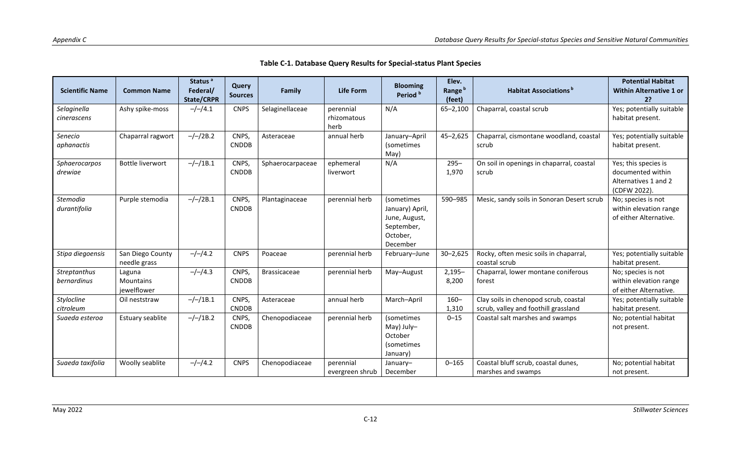| <b>Scientific Name</b>      | <b>Common Name</b>                        | Status <sup>a</sup><br>Federal/<br><b>State/CRPR</b> | Query<br><b>Sources</b> | Family              | <b>Life Form</b>                 | <b>Blooming</b><br>Period <sup>b</sup>                                               | Elev.<br>Range <sup>b</sup><br>(feet) | Habitat Associations <sup>b</sup>                                             | <b>Potential Habitat</b><br><b>Within Alternative 1 or</b><br>2?                  |
|-----------------------------|-------------------------------------------|------------------------------------------------------|-------------------------|---------------------|----------------------------------|--------------------------------------------------------------------------------------|---------------------------------------|-------------------------------------------------------------------------------|-----------------------------------------------------------------------------------|
| Selaginella<br>cinerascens  | Ashy spike-moss                           | $-/-/4.1$                                            | <b>CNPS</b>             | Selaginellaceae     | perennial<br>rhizomatous<br>herb | N/A                                                                                  | $65 - 2,100$                          | Chaparral, coastal scrub                                                      | Yes; potentially suitable<br>habitat present.                                     |
| Senecio<br>aphanactis       | Chaparral ragwort                         | $-/-/2B.2$                                           | CNPS,<br><b>CNDDB</b>   | Asteraceae          | annual herb                      | January-April<br>(sometimes<br>May)                                                  | $45 - 2,625$                          | Chaparral, cismontane woodland, coastal<br>scrub                              | Yes; potentially suitable<br>habitat present.                                     |
| Sphaerocarpos<br>drewiae    | Bottle liverwort                          | $-/-/1B.1$                                           | CNPS,<br><b>CNDDB</b>   | Sphaerocarpaceae    | ephemeral<br>liverwort           | N/A                                                                                  | $295 -$<br>1,970                      | On soil in openings in chaparral, coastal<br>scrub                            | Yes; this species is<br>documented within<br>Alternatives 1 and 2<br>(CDFW 2022). |
| Stemodia<br>durantifolia    | Purple stemodia                           | $-/-/2B.1$                                           | CNPS,<br><b>CNDDB</b>   | Plantaginaceae      | perennial herb                   | (sometimes<br>January) April,<br>June, August,<br>September,<br>October,<br>December | 590-985                               | Mesic, sandy soils in Sonoran Desert scrub                                    | No; species is not<br>within elevation range<br>of either Alternative.            |
| Stipa diegoensis            | San Diego County<br>needle grass          | $-/-/4.2$                                            | <b>CNPS</b>             | Poaceae             | perennial herb                   | February-June                                                                        | $30 - 2,625$                          | Rocky, often mesic soils in chaparral,<br>coastal scrub                       | Yes; potentially suitable<br>habitat present.                                     |
| Streptanthus<br>bernardinus | Laguna<br><b>Mountains</b><br>jewelflower | $-/-/4.3$                                            | CNPS,<br><b>CNDDB</b>   | <b>Brassicaceae</b> | perennial herb                   | May-August                                                                           | $2,195-$<br>8,200                     | Chaparral, lower montane coniferous<br>forest                                 | No; species is not<br>within elevation range<br>of either Alternative.            |
| Stylocline<br>citroleum     | Oil neststraw                             | $-/-/1B.1$                                           | CNPS,<br><b>CNDDB</b>   | Asteraceae          | annual herb                      | March-April                                                                          | $160 -$<br>1,310                      | Clay soils in chenopod scrub, coastal<br>scrub, valley and foothill grassland | Yes; potentially suitable<br>habitat present.                                     |
| Suaeda esteroa              | Estuary seablite                          | $-/-/1B.2$                                           | CNPS,<br><b>CNDDB</b>   | Chenopodiaceae      | perennial herb                   | (sometimes<br>May) July-<br>October<br><i>(sometimes)</i><br>January)                | $0 - 15$                              | Coastal salt marshes and swamps                                               | No; potential habitat<br>not present.                                             |
| Suaeda taxifolia            | Woolly seablite                           | $-/-/4.2$                                            | <b>CNPS</b>             | Chenopodiaceae      | perennial<br>evergreen shrub     | January-<br>December                                                                 | $0 - 165$                             | Coastal bluff scrub, coastal dunes,<br>marshes and swamps                     | No; potential habitat<br>not present.                                             |

|  |  |  |  |  | Table C-1. Database Query Results for Special-status Plant Species |  |  |
|--|--|--|--|--|--------------------------------------------------------------------|--|--|
|--|--|--|--|--|--------------------------------------------------------------------|--|--|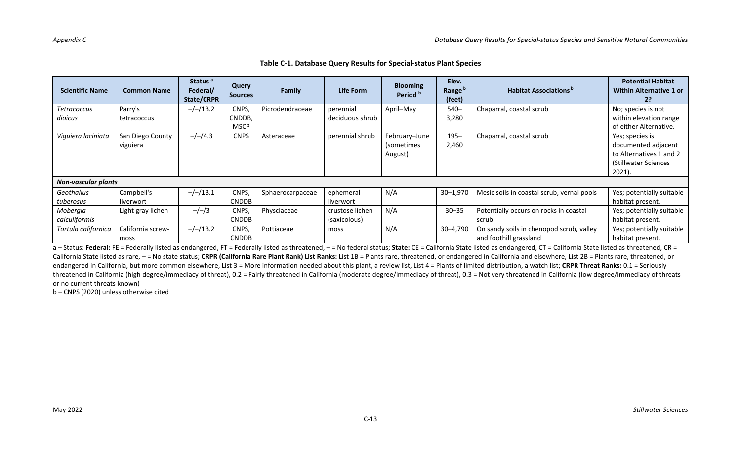| <b>Scientific Name</b>     | <b>Common Name</b> | Status <sup>a</sup><br>Federal/<br>State/CRPR | Query<br><b>Sources</b> | <b>Family</b>    | <b>Life Form</b> | <b>Blooming</b><br>Period <sup>b</sup> | Elev.<br>Range <sup>b</sup><br>(feet) | <b>Habitat Associations</b> b              | <b>Potential Habitat</b><br><b>Within Alternative 1 or</b><br>2? |
|----------------------------|--------------------|-----------------------------------------------|-------------------------|------------------|------------------|----------------------------------------|---------------------------------------|--------------------------------------------|------------------------------------------------------------------|
| <b>Tetracoccus</b>         | Parry's            | $-/-/1B.2$                                    | CNPS,                   | Picrodendraceae  | perennial        | April-May                              | $540 -$                               | Chaparral, coastal scrub                   | No; species is not                                               |
| dioicus                    | tetracoccus        |                                               | CNDDB,                  |                  | deciduous shrub  |                                        | 3,280                                 |                                            | within elevation range                                           |
|                            |                    |                                               | <b>MSCP</b>             |                  |                  |                                        |                                       |                                            | of either Alternative.                                           |
| Viguiera laciniata         | San Diego County   | $-/-/4.3$                                     | <b>CNPS</b>             | Asteraceae       | perennial shrub  | February-June                          | $195 -$                               | Chaparral, coastal scrub                   | Yes; species is                                                  |
|                            | viguiera           |                                               |                         |                  |                  | (sometimes)                            | 2,460                                 |                                            | documented adjacent                                              |
|                            |                    |                                               |                         |                  |                  | August)                                |                                       |                                            | to Alternatives 1 and 2                                          |
|                            |                    |                                               |                         |                  |                  |                                        |                                       |                                            | (Stillwater Sciences)                                            |
|                            |                    |                                               |                         |                  |                  |                                        |                                       |                                            | $2021$ ).                                                        |
| <b>Non-vascular plants</b> |                    |                                               |                         |                  |                  |                                        |                                       |                                            |                                                                  |
| Geothallus                 | Campbell's         | $-/-/1B.1$                                    | CNPS,                   | Sphaerocarpaceae | ephemeral        | N/A                                    | $30 - 1,970$                          | Mesic soils in coastal scrub, vernal pools | Yes; potentially suitable                                        |
| tuberosus                  | liverwort          |                                               | <b>CNDDB</b>            |                  | liverwort        |                                        |                                       |                                            | habitat present.                                                 |
| Mobergia                   | Light gray lichen  | $-/-/3$                                       | CNPS,                   | Physciaceae      | crustose lichen  | N/A                                    | $30 - 35$                             | Potentially occurs on rocks in coastal     | Yes; potentially suitable                                        |
| calculiformis              |                    |                                               | <b>CNDDB</b>            |                  | (saxicolous)     |                                        |                                       | scrub                                      | habitat present.                                                 |
| Tortula californica        | California screw-  | $-/-/1B.2$                                    | CNPS,                   | Pottiaceae       | moss             | N/A                                    | $30 - 4,790$                          | On sandy soils in chenopod scrub, valley   | Yes; potentially suitable                                        |
|                            | moss               |                                               | <b>CNDDB</b>            |                  |                  |                                        |                                       | and foothill grassland                     | habitat present.                                                 |

#### **Table C-1. Database Query Results for Special-status Plant Species**

a - Status: Federal: FE = Federally listed as endangered, FT = Federally listed as threatened, - = No federal status; State: CE = California State listed as endangered, CT = California State listed as threatened, CR = California State listed as rare, - = No state status; CRPR (California Rare Plant Rank) List Ranks: List 1B = Plants rare, threatened, or endangered in California and elsewhere, List 2B = Plants rare, threatened, or endangered in California, but more common elsewhere, List 3 = More information needed about this plant, a review list, List 4 = Plants of limited distribution, a watch list; **CRPR Threat Ranks:** 0.1 = Seriously threatened in California (high degree/immediacy of threat), 0.2 = Fairly threatened in California (moderate degree/immediacy of threat), 0.3 = Not very threatened in California (low degree/immediacy of threats or no current threats known)

b – CNPS (2020) unless otherwise cited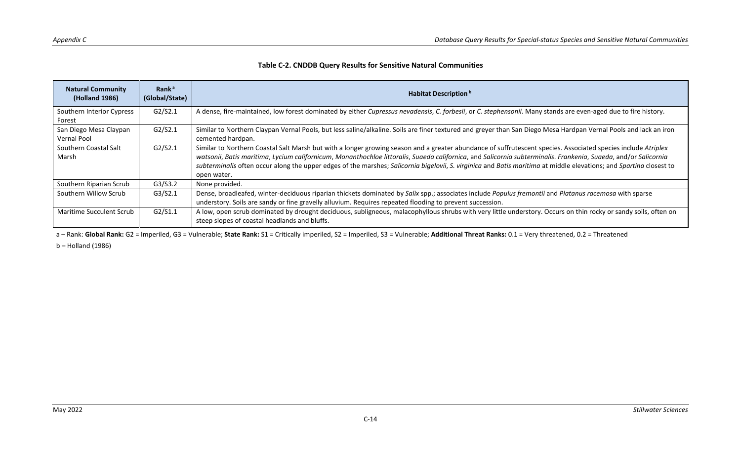| <b>Natural Community</b><br>(Holland 1986) | Rank <sup>a</sup><br>(Global/State) | <b>Habitat Description</b> <sup>b</sup>                                                                                                                                                                                                                                                                                                                                                                                                                                                                                |
|--------------------------------------------|-------------------------------------|------------------------------------------------------------------------------------------------------------------------------------------------------------------------------------------------------------------------------------------------------------------------------------------------------------------------------------------------------------------------------------------------------------------------------------------------------------------------------------------------------------------------|
| Southern Interior Cypress                  | G2/S2.1                             | A dense, fire-maintained, low forest dominated by either Cupressus nevadensis, C. forbesii, or C. stephensonii. Many stands are even-aged due to fire history.                                                                                                                                                                                                                                                                                                                                                         |
| Forest                                     |                                     |                                                                                                                                                                                                                                                                                                                                                                                                                                                                                                                        |
| San Diego Mesa Claypan<br>Vernal Pool      | G2/S2.1                             | Similar to Northern Claypan Vernal Pools, but less saline/alkaline. Soils are finer textured and greyer than San Diego Mesa Hardpan Vernal Pools and lack an iron<br>cemented hardpan.                                                                                                                                                                                                                                                                                                                                 |
| Southern Coastal Salt<br>Marsh             | G2/S2.1                             | Similar to Northern Coastal Salt Marsh but with a longer growing season and a greater abundance of suffrutescent species. Associated species include Atriplex<br>watsonii, Batis maritima, Lycium californicum, Monanthochloe littoralis, Suaeda californica, and Salicornia subterminalis. Frankenia, Suaeda, and/or Salicornia<br>subterminalis often occur along the upper edges of the marshes; Salicornia bigelovii, S. virginica and Batis maritima at middle elevations; and Spartina closest to<br>open water. |
| Southern Riparian Scrub                    | G3/S3.2                             | None provided.                                                                                                                                                                                                                                                                                                                                                                                                                                                                                                         |
| Southern Willow Scrub                      | G3/S2.1                             | Dense, broadleafed, winter-deciduous riparian thickets dominated by Salix spp.; associates include Populus fremontii and Platanus racemosa with sparse<br>understory. Soils are sandy or fine gravelly alluvium. Requires repeated flooding to prevent succession.                                                                                                                                                                                                                                                     |
| Maritime Succulent Scrub                   | G2/S1.1                             | A low, open scrub dominated by drought deciduous, subligneous, malacophyllous shrubs with very little understory. Occurs on thin rocky or sandy soils, often on<br>steep slopes of coastal headlands and bluffs.                                                                                                                                                                                                                                                                                                       |

#### **Table C-2. CNDDB Query Results for Sensitive Natural Communities**

a – Rank: **Global Rank:** G2 = Imperiled, G3 = Vulnerable; **State Rank:** S1 = Critically imperiled, S2 = Imperiled, S3 = Vulnerable; **Additional Threat Ranks:** 0.1 = Very threatened, 0.2 = Threatened

b – Holland (1986)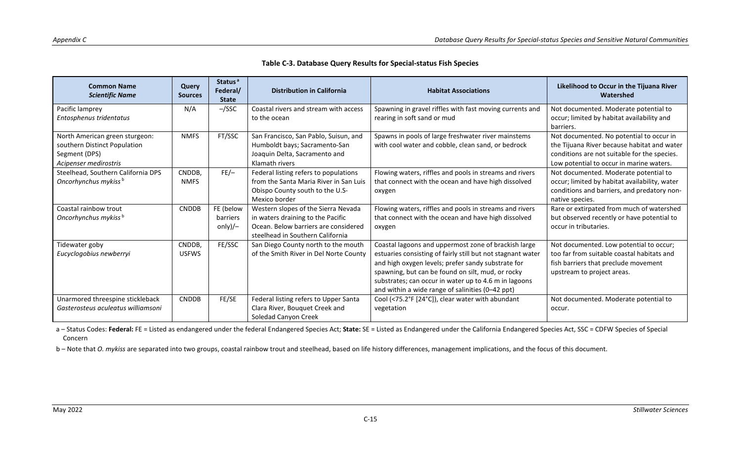| <b>Common Name</b><br><b>Scientific Name</b> | Query<br><b>Sources</b> | Status <sup>a</sup><br>Federal/<br><b>State</b> | <b>Distribution in California</b>      | <b>Habitat Associations</b>                                 | Likelihood to Occur in the Tijuana River<br>Watershed   |
|----------------------------------------------|-------------------------|-------------------------------------------------|----------------------------------------|-------------------------------------------------------------|---------------------------------------------------------|
| Pacific lamprey                              | N/A                     | $-\sqrt{SSC}$                                   | Coastal rivers and stream with access  | Spawning in gravel riffles with fast moving currents and    | Not documented. Moderate potential to                   |
| Entosphenus tridentatus                      |                         |                                                 | to the ocean                           | rearing in soft sand or mud                                 | occur; limited by habitat availability and<br>barriers. |
| North American green sturgeon:               | <b>NMFS</b>             | FT/SSC                                          | San Francisco, San Pablo, Suisun, and  | Spawns in pools of large freshwater river mainstems         | Not documented. No potential to occur in                |
| southern Distinct Population                 |                         |                                                 | Humboldt bays; Sacramento-San          | with cool water and cobble, clean sand, or bedrock          | the Tijuana River because habitat and water             |
| Segment (DPS)                                |                         |                                                 | Joaquin Delta, Sacramento and          |                                                             | conditions are not suitable for the species.            |
| Acipenser medirostris                        |                         |                                                 | Klamath rivers                         |                                                             | Low potential to occur in marine waters.                |
| Steelhead, Southern California DPS           | CNDDB,                  | $FE$ –                                          | Federal listing refers to populations  | Flowing waters, riffles and pools in streams and rivers     | Not documented. Moderate potential to                   |
| Oncorhynchus mykiss <sup>b</sup>             | <b>NMFS</b>             |                                                 | from the Santa Maria River in San Luis | that connect with the ocean and have high dissolved         | occur; limited by habitat availability, water           |
|                                              |                         |                                                 | Obispo County south to the U.S-        | oxygen                                                      | conditions and barriers, and predatory non-             |
|                                              |                         |                                                 | Mexico border                          |                                                             | native species.                                         |
| Coastal rainbow trout                        | <b>CNDDB</b>            | FE (below                                       | Western slopes of the Sierra Nevada    | Flowing waters, riffles and pools in streams and rivers     | Rare or extirpated from much of watershed               |
| Oncorhynchus mykiss b                        |                         | barriers                                        | in waters draining to the Pacific      | that connect with the ocean and have high dissolved         | but observed recently or have potential to              |
|                                              |                         | only)/ $-$                                      | Ocean. Below barriers are considered   | oxygen                                                      | occur in tributaries.                                   |
|                                              |                         |                                                 | steelhead in Southern California       |                                                             |                                                         |
| Tidewater goby                               | CNDDB,                  | FE/SSC                                          | San Diego County north to the mouth    | Coastal lagoons and uppermost zone of brackish large        | Not documented. Low potential to occur;                 |
| Eucyclogobius newberryi                      | <b>USFWS</b>            |                                                 | of the Smith River in Del Norte County | estuaries consisting of fairly still but not stagnant water | too far from suitable coastal habitats and              |
|                                              |                         |                                                 |                                        | and high oxygen levels; prefer sandy substrate for          | fish barriers that preclude movement                    |
|                                              |                         |                                                 |                                        | spawning, but can be found on silt, mud, or rocky           | upstream to project areas.                              |
|                                              |                         |                                                 |                                        | substrates; can occur in water up to 4.6 m in lagoons       |                                                         |
|                                              |                         |                                                 |                                        | and within a wide range of salinities (0-42 ppt)            |                                                         |
| Unarmored threespine stickleback             | <b>CNDDB</b>            | FE/SE                                           | Federal listing refers to Upper Santa  | Cool (<75.2°F [24°C]), clear water with abundant            | Not documented. Moderate potential to                   |
| Gasterosteus aculeatus williamsoni           |                         |                                                 | Clara River, Bouquet Creek and         | vegetation                                                  | occur.                                                  |
|                                              |                         |                                                 | Soledad Canyon Creek                   |                                                             |                                                         |

#### **Table C-3. Database Query Results for Special-status Fish Species**

a – Status Codes: **Federal:** FE = Listed as endangered under the federal Endangered Species Act; **State:** SE = Listed as Endangered under the California Endangered Species Act, SSC = CDFW Species of Special Concern

b – Note that *O. mykiss* are separated into two groups, coastal rainbow trout and steelhead, based on life history differences, management implications, and the focus of this document.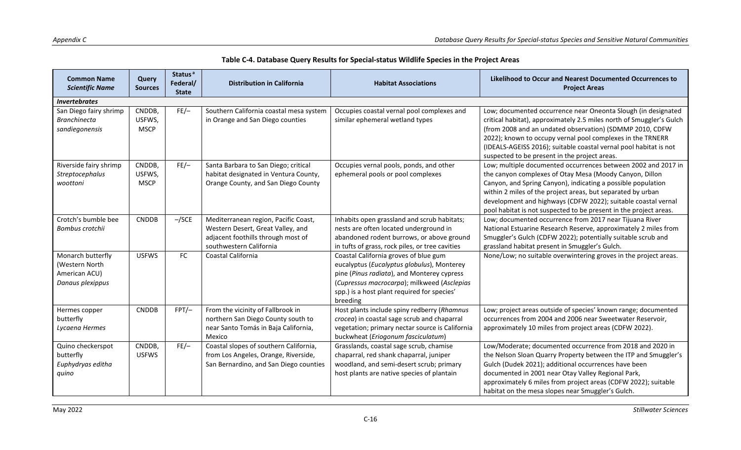| <b>Common Name</b><br><b>Scientific Name</b>                             | Query<br><b>Sources</b>         | Status <sup>a</sup><br>Federal/<br><b>State</b> | <b>Distribution in California</b>                                                                                                          | <b>Habitat Associations</b>                                                                                                                                                                                                                 | Likelihood to Occur and Nearest Documented Occurrences to<br><b>Project Areas</b>                                                                                                                                                                                                                                                                                                             |
|--------------------------------------------------------------------------|---------------------------------|-------------------------------------------------|--------------------------------------------------------------------------------------------------------------------------------------------|---------------------------------------------------------------------------------------------------------------------------------------------------------------------------------------------------------------------------------------------|-----------------------------------------------------------------------------------------------------------------------------------------------------------------------------------------------------------------------------------------------------------------------------------------------------------------------------------------------------------------------------------------------|
| <b>Invertebrates</b>                                                     |                                 |                                                 |                                                                                                                                            |                                                                                                                                                                                                                                             |                                                                                                                                                                                                                                                                                                                                                                                               |
| San Diego fairy shrimp<br><b>Branchinecta</b><br>sandiegonensis          | CNDDB,<br>USFWS,<br><b>MSCP</b> | $FE$ –                                          | Southern California coastal mesa system<br>in Orange and San Diego counties                                                                | Occupies coastal vernal pool complexes and<br>similar ephemeral wetland types                                                                                                                                                               | Low; documented occurrence near Oneonta Slough (in designated<br>critical habitat), approximately 2.5 miles north of Smuggler's Gulch<br>(from 2008 and an undated observation) (SDMMP 2010, CDFW<br>2022); known to occupy vernal pool complexes in the TRNERR<br>(IDEALS-AGEISS 2016); suitable coastal vernal pool habitat is not<br>suspected to be present in the project areas.         |
| Riverside fairy shrimp<br>Streptocephalus<br>woottoni                    | CNDDB,<br>USFWS,<br><b>MSCP</b> | $FE$ –                                          | Santa Barbara to San Diego; critical<br>habitat designated in Ventura County,<br>Orange County, and San Diego County                       | Occupies vernal pools, ponds, and other<br>ephemeral pools or pool complexes                                                                                                                                                                | Low; multiple documented occurrences between 2002 and 2017 in<br>the canyon complexes of Otay Mesa (Moody Canyon, Dillon<br>Canyon, and Spring Canyon), indicating a possible population<br>within 2 miles of the project areas, but separated by urban<br>development and highways (CDFW 2022); suitable coastal vernal<br>pool habitat is not suspected to be present in the project areas. |
| Crotch's bumble bee<br>Bombus crotchii                                   | <b>CNDDB</b>                    | $-\sqrt{SCE}$                                   | Mediterranean region, Pacific Coast,<br>Western Desert, Great Valley, and<br>adjacent foothills through most of<br>southwestern California | Inhabits open grassland and scrub habitats;<br>nests are often located underground in<br>abandoned rodent burrows, or above ground<br>in tufts of grass, rock piles, or tree cavities                                                       | Low; documented occurrence from 2017 near Tijuana River<br>National Estuarine Research Reserve, approximately 2 miles from<br>Smuggler's Gulch (CDFW 2022); potentially suitable scrub and<br>grassland habitat present in Smuggler's Gulch.                                                                                                                                                  |
| Monarch butterfly<br>(Western North<br>American ACU)<br>Danaus plexippus | <b>USFWS</b>                    | FC                                              | Coastal California                                                                                                                         | Coastal California groves of blue gum<br>eucalyptus (Eucalyptus globulus), Monterey<br>pine (Pinus radiata), and Monterey cypress<br>(Cupressus macrocarpa); milkweed (Asclepias<br>spp.) is a host plant required for species'<br>breeding | None/Low; no suitable overwintering groves in the project areas.                                                                                                                                                                                                                                                                                                                              |
| Hermes copper<br>butterfly<br>Lycaena Hermes                             | <b>CNDDB</b>                    | $FPT$ /-                                        | From the vicinity of Fallbrook in<br>northern San Diego County south to<br>near Santo Tomás in Baja California,<br>Mexico                  | Host plants include spiny redberry (Rhamnus<br>crocea) in coastal sage scrub and chaparral<br>vegetation; primary nectar source is California<br>buckwheat (Eriogonum fasciculatum)                                                         | Low; project areas outside of species' known range; documented<br>occurrences from 2004 and 2006 near Sweetwater Reservoir,<br>approximately 10 miles from project areas (CDFW 2022).                                                                                                                                                                                                         |
| Quino checkerspot<br>butterfly<br>Euphydryas editha<br>quino             | CNDDB,<br><b>USFWS</b>          | $FE$ –                                          | Coastal slopes of southern California,<br>from Los Angeles, Orange, Riverside,<br>San Bernardino, and San Diego counties                   | Grasslands, coastal sage scrub, chamise<br>chaparral, red shank chaparral, juniper<br>woodland, and semi-desert scrub; primary<br>host plants are native species of plantain                                                                | Low/Moderate; documented occurrence from 2018 and 2020 in<br>the Nelson Sloan Quarry Property between the ITP and Smuggler's<br>Gulch (Dudek 2021); additional occurrences have been<br>documented in 2001 near Otay Valley Regional Park,<br>approximately 6 miles from project areas (CDFW 2022); suitable<br>habitat on the mesa slopes near Smuggler's Gulch.                             |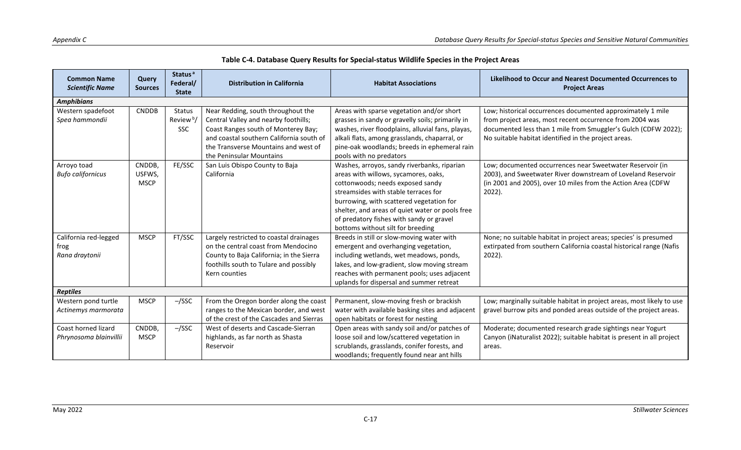| <b>Common Name</b><br><b>Scientific Name</b> | Query<br><b>Sources</b> | Status <sup>a</sup><br>Federal/<br><b>State</b> | <b>Distribution in California</b>        | <b>Habitat Associations</b>                       | Likelihood to Occur and Nearest Documented Occurrences to<br><b>Project Areas</b> |
|----------------------------------------------|-------------------------|-------------------------------------------------|------------------------------------------|---------------------------------------------------|-----------------------------------------------------------------------------------|
| <b>Amphibians</b>                            |                         |                                                 |                                          |                                                   |                                                                                   |
| Western spadefoot                            | <b>CNDDB</b>            | Status                                          | Near Redding, south throughout the       | Areas with sparse vegetation and/or short         | Low; historical occurrences documented approximately 1 mile                       |
| Spea hammondii                               |                         | Review <sup>b</sup> /                           | Central Valley and nearby foothills;     | grasses in sandy or gravelly soils; primarily in  | from project areas, most recent occurrence from 2004 was                          |
|                                              |                         | <b>SSC</b>                                      | Coast Ranges south of Monterey Bay;      | washes, river floodplains, alluvial fans, playas, | documented less than 1 mile from Smuggler's Gulch (CDFW 2022);                    |
|                                              |                         |                                                 | and coastal southern California south of | alkali flats, among grasslands, chaparral, or     | No suitable habitat identified in the project areas.                              |
|                                              |                         |                                                 | the Transverse Mountains and west of     | pine-oak woodlands; breeds in ephemeral rain      |                                                                                   |
|                                              |                         |                                                 | the Peninsular Mountains                 | pools with no predators                           |                                                                                   |
| Arroyo toad                                  | CNDDB,                  | FE/SSC                                          | San Luis Obispo County to Baja           | Washes, arroyos, sandy riverbanks, riparian       | Low; documented occurrences near Sweetwater Reservoir (in                         |
| <b>Bufo californicus</b>                     | USFWS,                  |                                                 | California                               | areas with willows, sycamores, oaks,              | 2003), and Sweetwater River downstream of Loveland Reservoir                      |
|                                              | <b>MSCP</b>             |                                                 |                                          | cottonwoods; needs exposed sandy                  | (in 2001 and 2005), over 10 miles from the Action Area (CDFW                      |
|                                              |                         |                                                 |                                          | streamsides with stable terraces for              | $2022$ ).                                                                         |
|                                              |                         |                                                 |                                          | burrowing, with scattered vegetation for          |                                                                                   |
|                                              |                         |                                                 |                                          | shelter, and areas of quiet water or pools free   |                                                                                   |
|                                              |                         |                                                 |                                          | of predatory fishes with sandy or gravel          |                                                                                   |
|                                              |                         |                                                 |                                          | bottoms without silt for breeding                 |                                                                                   |
| California red-legged                        | <b>MSCP</b>             | FT/SSC                                          | Largely restricted to coastal drainages  | Breeds in still or slow-moving water with         | None; no suitable habitat in project areas; species' is presumed                  |
| frog                                         |                         |                                                 | on the central coast from Mendocino      | emergent and overhanging vegetation,              | extirpated from southern California coastal historical range (Nafis               |
| Rana draytonii                               |                         |                                                 | County to Baja California; in the Sierra | including wetlands, wet meadows, ponds,           | $2022$ ).                                                                         |
|                                              |                         |                                                 | foothills south to Tulare and possibly   | lakes, and low-gradient, slow moving stream       |                                                                                   |
|                                              |                         |                                                 | Kern counties                            | reaches with permanent pools; uses adjacent       |                                                                                   |
|                                              |                         |                                                 |                                          | uplands for dispersal and summer retreat          |                                                                                   |
| <b>Reptiles</b>                              |                         |                                                 |                                          |                                                   |                                                                                   |
| Western pond turtle                          | <b>MSCP</b>             | $-\sqrt{SSC}$                                   | From the Oregon border along the coast   | Permanent, slow-moving fresh or brackish          | Low; marginally suitable habitat in project areas, most likely to use             |
| Actinemys marmorata                          |                         |                                                 | ranges to the Mexican border, and west   | water with available basking sites and adjacent   | gravel burrow pits and ponded areas outside of the project areas.                 |
|                                              |                         |                                                 | of the crest of the Cascades and Sierras | open habitats or forest for nesting               |                                                                                   |
| Coast horned lizard                          | CNDDB,                  | $-\sqrt{SSC}$                                   | West of deserts and Cascade-Sierran      | Open areas with sandy soil and/or patches of      | Moderate; documented research grade sightings near Yogurt                         |
| Phrynosoma blainvillii                       | <b>MSCP</b>             |                                                 | highlands, as far north as Shasta        | loose soil and low/scattered vegetation in        | Canyon (iNaturalist 2022); suitable habitat is present in all project             |
|                                              |                         |                                                 | Reservoir                                | scrublands, grasslands, conifer forests, and      | areas.                                                                            |
|                                              |                         |                                                 |                                          | woodlands; frequently found near ant hills        |                                                                                   |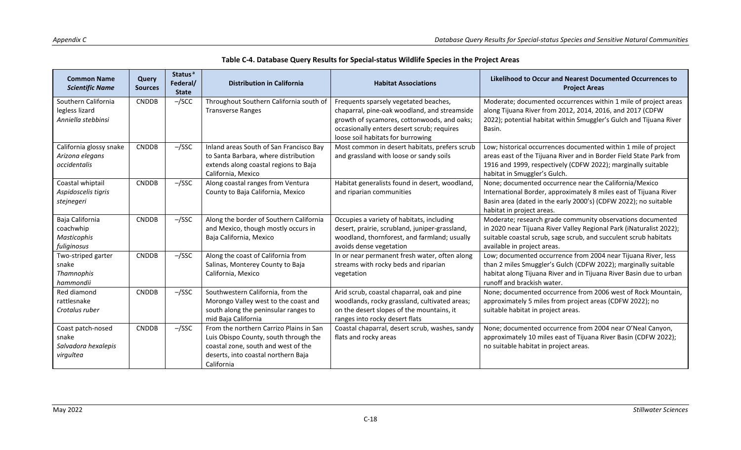| <b>Common Name</b><br><b>Scientific Name</b>                      | Query<br><b>Sources</b> | Status <sup>a</sup><br>Federal/<br><b>State</b> | <b>Distribution in California</b>                                                                                                                                            | <b>Habitat Associations</b>                                                                                                                                                                                             | Likelihood to Occur and Nearest Documented Occurrences to<br><b>Project Areas</b>                                                                                                                                                      |
|-------------------------------------------------------------------|-------------------------|-------------------------------------------------|------------------------------------------------------------------------------------------------------------------------------------------------------------------------------|-------------------------------------------------------------------------------------------------------------------------------------------------------------------------------------------------------------------------|----------------------------------------------------------------------------------------------------------------------------------------------------------------------------------------------------------------------------------------|
| Southern California<br>legless lizard<br>Anniella stebbinsi       | <b>CNDDB</b>            | $-/SCC$                                         | Throughout Southern California south of<br><b>Transverse Ranges</b>                                                                                                          | Frequents sparsely vegetated beaches,<br>chaparral, pine-oak woodland, and streamside<br>growth of sycamores, cottonwoods, and oaks;<br>occasionally enters desert scrub; requires<br>loose soil habitats for burrowing | Moderate; documented occurrences within 1 mile of project areas<br>along Tijuana River from 2012, 2014, 2016, and 2017 (CDFW<br>2022); potential habitat within Smuggler's Gulch and Tijuana River<br>Basin.                           |
| California glossy snake<br>Arizona elegans<br>occidentalis        | <b>CNDDB</b>            | $-\sqrt{SSC}$                                   | Inland areas South of San Francisco Bay<br>to Santa Barbara, where distribution<br>extends along coastal regions to Baja<br>California, Mexico                               | Most common in desert habitats, prefers scrub<br>and grassland with loose or sandy soils                                                                                                                                | Low; historical occurrences documented within 1 mile of project<br>areas east of the Tijuana River and in Border Field State Park from<br>1916 and 1999, respectively (CDFW 2022); marginally suitable<br>habitat in Smuggler's Gulch. |
| Coastal whiptail<br>Aspidoscelis tigris<br>stejnegeri             | <b>CNDDB</b>            | $-\sqrt{SSC}$                                   | Along coastal ranges from Ventura<br>County to Baja California, Mexico                                                                                                       | Habitat generalists found in desert, woodland,<br>and riparian communities                                                                                                                                              | None; documented occurrence near the California/Mexico<br>International Border, approximately 8 miles east of Tijuana River<br>Basin area (dated in the early 2000's) (CDFW 2022); no suitable<br>habitat in project areas.            |
| Baja California<br>coachwhip<br><b>Masticophis</b><br>fuliginosus | <b>CNDDB</b>            | $-\sqrt{SSC}$                                   | Along the border of Southern California<br>and Mexico, though mostly occurs in<br>Baja California, Mexico                                                                    | Occupies a variety of habitats, including<br>desert, prairie, scrubland, juniper-grassland,<br>woodland, thornforest, and farmland; usually<br>avoids dense vegetation                                                  | Moderate; research grade community observations documented<br>in 2020 near Tijuana River Valley Regional Park (iNaturalist 2022);<br>suitable coastal scrub, sage scrub, and succulent scrub habitats<br>available in project areas.   |
| Two-striped garter<br>snake<br>Thamnophis<br>hammondii            | <b>CNDDB</b>            | $-\sqrt{SSC}$                                   | Along the coast of California from<br>Salinas, Monterey County to Baja<br>California, Mexico                                                                                 | In or near permanent fresh water, often along<br>streams with rocky beds and riparian<br>vegetation                                                                                                                     | Low; documented occurrence from 2004 near Tijuana River, less<br>than 2 miles Smuggler's Gulch (CDFW 2022); marginally suitable<br>habitat along Tijuana River and in Tijuana River Basin due to urban<br>runoff and brackish water.   |
| Red diamond<br>rattlesnake<br>Crotalus ruber                      | <b>CNDDB</b>            | $-\sqrt{SSC}$                                   | Southwestern California, from the<br>Morongo Valley west to the coast and<br>south along the peninsular ranges to<br>mid Baja California                                     | Arid scrub, coastal chaparral, oak and pine<br>woodlands, rocky grassland, cultivated areas;<br>on the desert slopes of the mountains, it<br>ranges into rocky desert flats                                             | None; documented occurrence from 2006 west of Rock Mountain,<br>approximately 5 miles from project areas (CDFW 2022); no<br>suitable habitat in project areas.                                                                         |
| Coast patch-nosed<br>snake<br>Salvadora hexalepis<br>virgultea    | <b>CNDDB</b>            | $-\sqrt{SSC}$                                   | From the northern Carrizo Plains in San<br>Luis Obispo County, south through the<br>coastal zone, south and west of the<br>deserts, into coastal northern Baja<br>California | Coastal chaparral, desert scrub, washes, sandy<br>flats and rocky areas                                                                                                                                                 | None; documented occurrence from 2004 near O'Neal Canyon,<br>approximately 10 miles east of Tijuana River Basin (CDFW 2022);<br>no suitable habitat in project areas.                                                                  |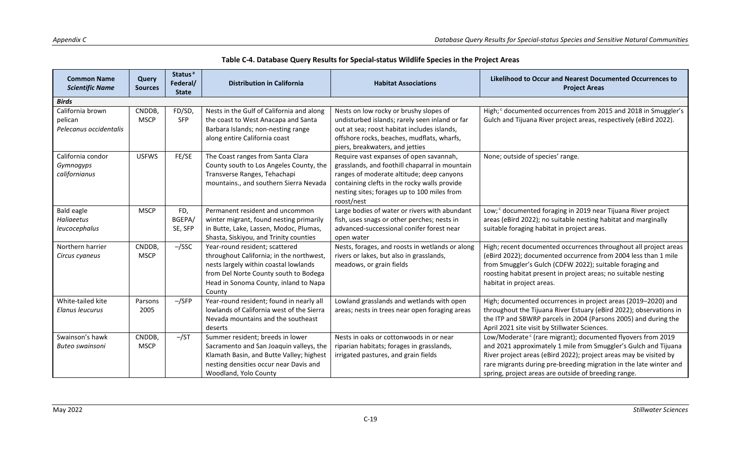| <b>Common Name</b><br><b>Scientific Name</b>          | Query<br><b>Sources</b> | Status <sup>a</sup><br>Federal/<br><b>State</b> | <b>Distribution in California</b>                                                                                                                                                                               | <b>Habitat Associations</b>                                                                                                                                                                                                                         | Likelihood to Occur and Nearest Documented Occurrences to<br><b>Project Areas</b>                                                                                                                                                                                                                                                             |
|-------------------------------------------------------|-------------------------|-------------------------------------------------|-----------------------------------------------------------------------------------------------------------------------------------------------------------------------------------------------------------------|-----------------------------------------------------------------------------------------------------------------------------------------------------------------------------------------------------------------------------------------------------|-----------------------------------------------------------------------------------------------------------------------------------------------------------------------------------------------------------------------------------------------------------------------------------------------------------------------------------------------|
| <b>Birds</b>                                          |                         |                                                 |                                                                                                                                                                                                                 |                                                                                                                                                                                                                                                     |                                                                                                                                                                                                                                                                                                                                               |
| California brown<br>pelican<br>Pelecanus occidentalis | CNDDB,<br><b>MSCP</b>   | FD/SD,<br><b>SFP</b>                            | Nests in the Gulf of California and along<br>the coast to West Anacapa and Santa<br>Barbara Islands; non-nesting range<br>along entire California coast                                                         | Nests on low rocky or brushy slopes of<br>undisturbed islands; rarely seen inland or far<br>out at sea; roost habitat includes islands,<br>offshore rocks, beaches, mudflats, wharfs,<br>piers, breakwaters, and jetties                            | High; <sup>c</sup> documented occurrences from 2015 and 2018 in Smuggler's<br>Gulch and Tijuana River project areas, respectively (eBird 2022).                                                                                                                                                                                               |
| California condor<br>Gymnogyps<br>californianus       | <b>USFWS</b>            | FE/SE                                           | The Coast ranges from Santa Clara<br>County south to Los Angeles County, the<br>Transverse Ranges, Tehachapi<br>mountains., and southern Sierra Nevada                                                          | Require vast expanses of open savannah,<br>grasslands, and foothill chaparral in mountain<br>ranges of moderate altitude; deep canyons<br>containing clefts in the rocky walls provide<br>nesting sites; forages up to 100 miles from<br>roost/nest | None; outside of species' range.                                                                                                                                                                                                                                                                                                              |
| Bald eagle<br>Haliaeetus                              | <b>MSCP</b>             | FD,<br>BGEPA/                                   | Permanent resident and uncommon<br>winter migrant, found nesting primarily                                                                                                                                      | Large bodies of water or rivers with abundant<br>fish, uses snags or other perches; nests in                                                                                                                                                        | Low; <sup>c</sup> documented foraging in 2019 near Tijuana River project<br>areas (eBird 2022); no suitable nesting habitat and marginally                                                                                                                                                                                                    |
| leucocephalus                                         |                         | SE, SFP                                         | in Butte, Lake, Lassen, Modoc, Plumas,<br>Shasta, Siskiyou, and Trinity counties                                                                                                                                | advanced-successional conifer forest near<br>open water                                                                                                                                                                                             | suitable foraging habitat in project areas.                                                                                                                                                                                                                                                                                                   |
| Northern harrier<br>Circus cyaneus                    | CNDDB,<br><b>MSCP</b>   | $-\sqrt{SSC}$                                   | Year-round resident; scattered<br>throughout California; in the northwest,<br>nests largely within coastal lowlands<br>from Del Norte County south to Bodega<br>Head in Sonoma County, inland to Napa<br>County | Nests, forages, and roosts in wetlands or along<br>rivers or lakes, but also in grasslands,<br>meadows, or grain fields                                                                                                                             | High; recent documented occurrences throughout all project areas<br>(eBird 2022); documented occurrence from 2004 less than 1 mile<br>from Smuggler's Gulch (CDFW 2022); suitable foraging and<br>roosting habitat present in project areas; no suitable nesting<br>habitat in project areas.                                                 |
| White-tailed kite<br>Elanus leucurus                  | Parsons<br>2005         | $-\sqrt{SFP}$                                   | Year-round resident; found in nearly all<br>lowlands of California west of the Sierra<br>Nevada mountains and the southeast<br>deserts                                                                          | Lowland grasslands and wetlands with open<br>areas; nests in trees near open foraging areas                                                                                                                                                         | High; documented occurrences in project areas (2019-2020) and<br>throughout the Tijuana River Estuary (eBird 2022); observations in<br>the ITP and SBWRP parcels in 2004 (Parsons 2005) and during the<br>April 2021 site visit by Stillwater Sciences.                                                                                       |
| Swainson's hawk<br>Buteo swainsoni                    | CNDDB,<br><b>MSCP</b>   | $-\sqrt{ST}$                                    | Summer resident; breeds in lower<br>Sacramento and San Joaquin valleys, the<br>Klamath Basin, and Butte Valley; highest<br>nesting densities occur near Davis and<br>Woodland, Yolo County                      | Nests in oaks or cottonwoods in or near<br>riparian habitats; forages in grasslands,<br>irrigated pastures, and grain fields                                                                                                                        | Low/Moderate <sup>c</sup> (rare migrant); documented flyovers from 2019<br>and 2021 approximately 1 mile from Smuggler's Gulch and Tijuana<br>River project areas (eBird 2022); project areas may be visited by<br>rare migrants during pre-breeding migration in the late winter and<br>spring, project areas are outside of breeding range. |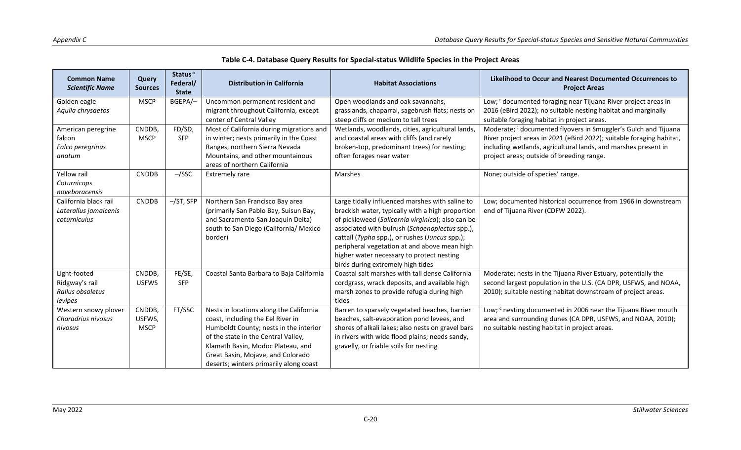| <b>Common Name</b><br><b>Scientific Name</b>                   | Query<br><b>Sources</b>         | Status <sup>a</sup><br>Federal/<br><b>State</b> | <b>Distribution in California</b>                                                                                                                                                                                                                                                 | <b>Habitat Associations</b>                                                                                                                                                                                                                                                                                                                                                                    | Likelihood to Occur and Nearest Documented Occurrences to<br><b>Project Areas</b>                                                                                                                                                                                 |
|----------------------------------------------------------------|---------------------------------|-------------------------------------------------|-----------------------------------------------------------------------------------------------------------------------------------------------------------------------------------------------------------------------------------------------------------------------------------|------------------------------------------------------------------------------------------------------------------------------------------------------------------------------------------------------------------------------------------------------------------------------------------------------------------------------------------------------------------------------------------------|-------------------------------------------------------------------------------------------------------------------------------------------------------------------------------------------------------------------------------------------------------------------|
| Golden eagle<br>Aquila chrysaetos                              | <b>MSCP</b>                     | BGEPA/-                                         | Uncommon permanent resident and<br>migrant throughout California, except<br>center of Central Valley                                                                                                                                                                              | Open woodlands and oak savannahs,<br>grasslands, chaparral, sagebrush flats; nests on<br>steep cliffs or medium to tall trees                                                                                                                                                                                                                                                                  | Low; <sup>c</sup> documented foraging near Tijuana River project areas in<br>2016 (eBird 2022); no suitable nesting habitat and marginally<br>suitable foraging habitat in project areas.                                                                         |
| American peregrine<br>falcon<br>Falco peregrinus<br>anatum     | CNDDB,<br><b>MSCP</b>           | FD/SD,<br><b>SFP</b>                            | Most of California during migrations and<br>in winter; nests primarily in the Coast<br>Ranges, northern Sierra Nevada<br>Mountains, and other mountainous<br>areas of northern California                                                                                         | Wetlands, woodlands, cities, agricultural lands,<br>and coastal areas with cliffs (and rarely<br>broken-top, predominant trees) for nesting;<br>often forages near water                                                                                                                                                                                                                       | Moderate; <sup>c</sup> documented flyovers in Smuggler's Gulch and Tijuana<br>River project areas in 2021 (eBird 2022); suitable foraging habitat,<br>including wetlands, agricultural lands, and marshes present in<br>project areas; outside of breeding range. |
| Yellow rail<br>Coturnicops<br>noveboracensis                   | <b>CNDDB</b>                    | $-\sqrt{SSC}$                                   | <b>Extremely rare</b>                                                                                                                                                                                                                                                             | Marshes                                                                                                                                                                                                                                                                                                                                                                                        | None; outside of species' range.                                                                                                                                                                                                                                  |
| California black rail<br>Laterallus jamaicenis<br>coturniculus | <b>CNDDB</b>                    | $-\sqrt{ST}$ , SFP                              | Northern San Francisco Bay area<br>(primarily San Pablo Bay, Suisun Bay,<br>and Sacramento-San Joaquin Delta)<br>south to San Diego (California/ Mexico<br>border)                                                                                                                | Large tidally influenced marshes with saline to<br>brackish water, typically with a high proportion<br>of pickleweed (Salicornia virginica); also can be<br>associated with bulrush (Schoenoplectus spp.),<br>cattail (Typha spp.), or rushes (Juncus spp.);<br>peripheral vegetation at and above mean high<br>higher water necessary to protect nesting<br>birds during extremely high tides | Low; documented historical occurrence from 1966 in downstream<br>end of Tijuana River (CDFW 2022).                                                                                                                                                                |
| Light-footed<br>Ridgway's rail<br>Rallus obsoletus<br>levipes  | CNDDB,<br><b>USFWS</b>          | FE/SE,<br><b>SFP</b>                            | Coastal Santa Barbara to Baja California                                                                                                                                                                                                                                          | Coastal salt marshes with tall dense California<br>cordgrass, wrack deposits, and available high<br>marsh zones to provide refugia during high<br>tides                                                                                                                                                                                                                                        | Moderate; nests in the Tijuana River Estuary, potentially the<br>second largest population in the U.S. (CA DPR, USFWS, and NOAA,<br>2010); suitable nesting habitat downstream of project areas.                                                                  |
| Western snowy plover<br>Charadrius nivosus<br>nivosus          | CNDDB,<br>USFWS,<br><b>MSCP</b> | FT/SSC                                          | Nests in locations along the California<br>coast, including the Eel River in<br>Humboldt County; nests in the interior<br>of the state in the Central Valley,<br>Klamath Basin, Modoc Plateau, and<br>Great Basin, Mojave, and Colorado<br>deserts; winters primarily along coast | Barren to sparsely vegetated beaches, barrier<br>beaches, salt-evaporation pond levees, and<br>shores of alkali lakes; also nests on gravel bars<br>in rivers with wide flood plains; needs sandy,<br>gravelly, or friable soils for nesting                                                                                                                                                   | Low; <sup>c</sup> nesting documented in 2006 near the Tijuana River mouth<br>area and surrounding dunes (CA DPR, USFWS, and NOAA, 2010);<br>no suitable nesting habitat in project areas.                                                                         |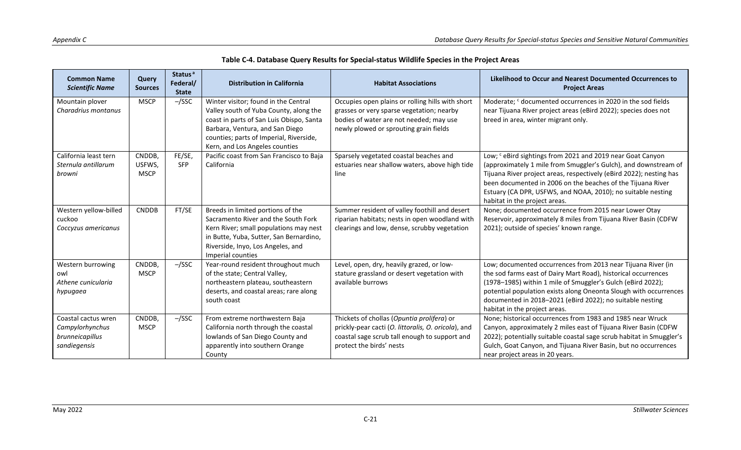| <b>Common Name</b><br><b>Scientific Name</b>                              | Query<br><b>Sources</b>         | Status <sup>a</sup><br>Federal/<br><b>State</b> | <b>Distribution in California</b>                                                                                                                                                                                                          | <b>Habitat Associations</b>                                                                                                                                                        | Likelihood to Occur and Nearest Documented Occurrences to<br><b>Project Areas</b>                                                                                                                                                                                                                                                                                               |
|---------------------------------------------------------------------------|---------------------------------|-------------------------------------------------|--------------------------------------------------------------------------------------------------------------------------------------------------------------------------------------------------------------------------------------------|------------------------------------------------------------------------------------------------------------------------------------------------------------------------------------|---------------------------------------------------------------------------------------------------------------------------------------------------------------------------------------------------------------------------------------------------------------------------------------------------------------------------------------------------------------------------------|
| Mountain plover<br>Charadrius montanus                                    | <b>MSCP</b>                     | $-\sqrt{SSC}$                                   | Winter visitor; found in the Central<br>Valley south of Yuba County, along the<br>coast in parts of San Luis Obispo, Santa<br>Barbara, Ventura, and San Diego<br>counties; parts of Imperial, Riverside,<br>Kern, and Los Angeles counties | Occupies open plains or rolling hills with short<br>grasses or very sparse vegetation; nearby<br>bodies of water are not needed; may use<br>newly plowed or sprouting grain fields | Moderate; <sup>c</sup> documented occurrences in 2020 in the sod fields<br>near Tijuana River project areas (eBird 2022); species does not<br>breed in area, winter migrant only.                                                                                                                                                                                               |
| California least tern<br>Sternula antillarum<br>browni                    | CNDDB,<br>USFWS,<br><b>MSCP</b> | FE/SE,<br><b>SFP</b>                            | Pacific coast from San Francisco to Baja<br>California                                                                                                                                                                                     | Sparsely vegetated coastal beaches and<br>estuaries near shallow waters, above high tide<br>line                                                                                   | Low; <sup>c</sup> eBird sightings from 2021 and 2019 near Goat Canyon<br>(approximately 1 mile from Smuggler's Gulch), and downstream of<br>Tijuana River project areas, respectively (eBird 2022); nesting has<br>been documented in 2006 on the beaches of the Tijuana River<br>Estuary (CA DPR, USFWS, and NOAA, 2010); no suitable nesting<br>habitat in the project areas. |
| Western yellow-billed<br>cuckoo<br>Coccyzus americanus                    | <b>CNDDB</b>                    | FT/SE                                           | Breeds in limited portions of the<br>Sacramento River and the South Fork<br>Kern River; small populations may nest<br>in Butte, Yuba, Sutter, San Bernardino,<br>Riverside, Inyo, Los Angeles, and<br>Imperial counties                    | Summer resident of valley foothill and desert<br>riparian habitats; nests in open woodland with<br>clearings and low, dense, scrubby vegetation                                    | None; documented occurrence from 2015 near Lower Otay<br>Reservoir, approximately 8 miles from Tijuana River Basin (CDFW<br>2021); outside of species' known range.                                                                                                                                                                                                             |
| Western burrowing<br>owl<br>Athene cunicularia<br>hypugaea                | CNDDB,<br><b>MSCP</b>           | $-\sqrt{SSC}$                                   | Year-round resident throughout much<br>of the state; Central Valley,<br>northeastern plateau, southeastern<br>deserts, and coastal areas; rare along<br>south coast                                                                        | Level, open, dry, heavily grazed, or low-<br>stature grassland or desert vegetation with<br>available burrows                                                                      | Low; documented occurrences from 2013 near Tijuana River (in<br>the sod farms east of Dairy Mart Road), historical occurrences<br>(1978-1985) within 1 mile of Smuggler's Gulch (eBird 2022);<br>potential population exists along Oneonta Slough with occurrences<br>documented in 2018-2021 (eBird 2022); no suitable nesting<br>habitat in the project areas.                |
| Coastal cactus wren<br>Campylorhynchus<br>brunneicapillus<br>sandiegensis | CNDDB,<br><b>MSCP</b>           | $-\sqrt{SSC}$                                   | From extreme northwestern Baja<br>California north through the coastal<br>lowlands of San Diego County and<br>apparently into southern Orange<br>County                                                                                    | Thickets of chollas (Opuntia prolifera) or<br>prickly-pear cacti (O. littoralis, O. oricola), and<br>coastal sage scrub tall enough to support and<br>protect the birds' nests     | None; historical occurrences from 1983 and 1985 near Wruck<br>Canyon, approximately 2 miles east of Tijuana River Basin (CDFW<br>2022); potentially suitable coastal sage scrub habitat in Smuggler's<br>Gulch, Goat Canyon, and Tijuana River Basin, but no occurrences<br>near project areas in 20 years.                                                                     |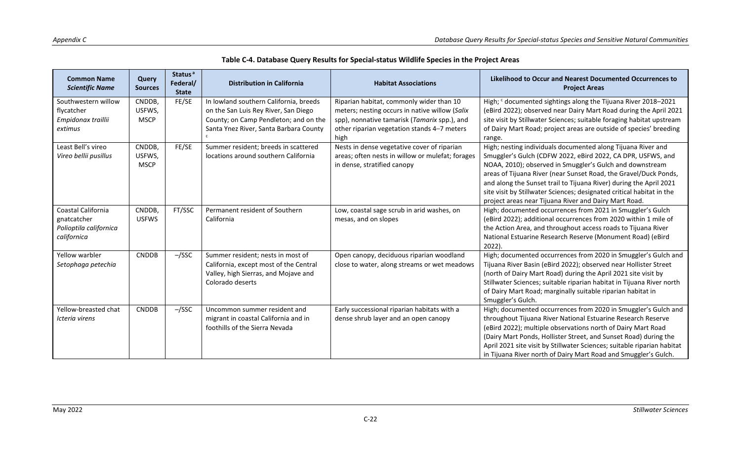| <b>Common Name</b><br><b>Scientific Name</b>                               | Query<br><b>Sources</b>         | Status <sup>a</sup><br>Federal/<br><b>State</b> | <b>Distribution in California</b>                                                                                                                                 | <b>Habitat Associations</b>                                                                                                                                                                       | Likelihood to Occur and Nearest Documented Occurrences to<br><b>Project Areas</b>                                                                                                                                                                                                                                                                                                                                                                                   |
|----------------------------------------------------------------------------|---------------------------------|-------------------------------------------------|-------------------------------------------------------------------------------------------------------------------------------------------------------------------|---------------------------------------------------------------------------------------------------------------------------------------------------------------------------------------------------|---------------------------------------------------------------------------------------------------------------------------------------------------------------------------------------------------------------------------------------------------------------------------------------------------------------------------------------------------------------------------------------------------------------------------------------------------------------------|
| Southwestern willow<br>flycatcher<br>Empidonax traillii<br>extimus         | CNDDB,<br>USFWS,<br><b>MSCP</b> | FE/SE                                           | In lowland southern California, breeds<br>on the San Luis Rey River, San Diego<br>County; on Camp Pendleton; and on the<br>Santa Ynez River, Santa Barbara County | Riparian habitat, commonly wider than 10<br>meters; nesting occurs in native willow (Salix<br>spp), nonnative tamarisk (Tamarix spp.), and<br>other riparian vegetation stands 4-7 meters<br>high | High; <sup>c</sup> documented sightings along the Tijuana River 2018-2021<br>(eBird 2022); observed near Dairy Mart Road during the April 2021<br>site visit by Stillwater Sciences; suitable foraging habitat upstream<br>of Dairy Mart Road; project areas are outside of species' breeding<br>range.                                                                                                                                                             |
| Least Bell's vireo<br>Vireo bellii pusillus                                | CNDDB,<br>USFWS,<br><b>MSCP</b> | FE/SE                                           | Summer resident; breeds in scattered<br>locations around southern California                                                                                      | Nests in dense vegetative cover of riparian<br>areas; often nests in willow or mulefat; forages<br>in dense, stratified canopy                                                                    | High; nesting individuals documented along Tijuana River and<br>Smuggler's Gulch (CDFW 2022, eBird 2022, CA DPR, USFWS, and<br>NOAA, 2010); observed in Smuggler's Gulch and downstream<br>areas of Tijuana River (near Sunset Road, the Gravel/Duck Ponds,<br>and along the Sunset trail to Tijuana River) during the April 2021<br>site visit by Stillwater Sciences; designated critical habitat in the<br>project areas near Tijuana River and Dairy Mart Road. |
| Coastal California<br>gnatcatcher<br>Polioptila californica<br>californica | CNDDB,<br><b>USFWS</b>          | FT/SSC                                          | Permanent resident of Southern<br>California                                                                                                                      | Low, coastal sage scrub in arid washes, on<br>mesas, and on slopes                                                                                                                                | High; documented occurrences from 2021 in Smuggler's Gulch<br>(eBird 2022); additional occurrences from 2020 within 1 mile of<br>the Action Area, and throughout access roads to Tijuana River<br>National Estuarine Research Reserve (Monument Road) (eBird<br>$2022$ ).                                                                                                                                                                                           |
| Yellow warbler<br>Setophaga petechia                                       | <b>CNDDB</b>                    | $-\sqrt{SSC}$                                   | Summer resident; nests in most of<br>California, except most of the Central<br>Valley, high Sierras, and Mojave and<br>Colorado deserts                           | Open canopy, deciduous riparian woodland<br>close to water, along streams or wet meadows                                                                                                          | High; documented occurrences from 2020 in Smuggler's Gulch and<br>Tijuana River Basin (eBird 2022); observed near Hollister Street<br>(north of Dairy Mart Road) during the April 2021 site visit by<br>Stillwater Sciences; suitable riparian habitat in Tijuana River north<br>of Dairy Mart Road; marginally suitable riparian habitat in<br>Smuggler's Gulch.                                                                                                   |
| Yellow-breasted chat<br>Icteria virens                                     | <b>CNDDB</b>                    | $-\sqrt{SSC}$                                   | Uncommon summer resident and<br>migrant in coastal California and in<br>foothills of the Sierra Nevada                                                            | Early successional riparian habitats with a<br>dense shrub layer and an open canopy                                                                                                               | High; documented occurrences from 2020 in Smuggler's Gulch and<br>throughout Tijuana River National Estuarine Research Reserve<br>(eBird 2022); multiple observations north of Dairy Mart Road<br>(Dairy Mart Ponds, Hollister Street, and Sunset Road) during the<br>April 2021 site visit by Stillwater Sciences; suitable riparian habitat<br>in Tijuana River north of Dairy Mart Road and Smuggler's Gulch.                                                    |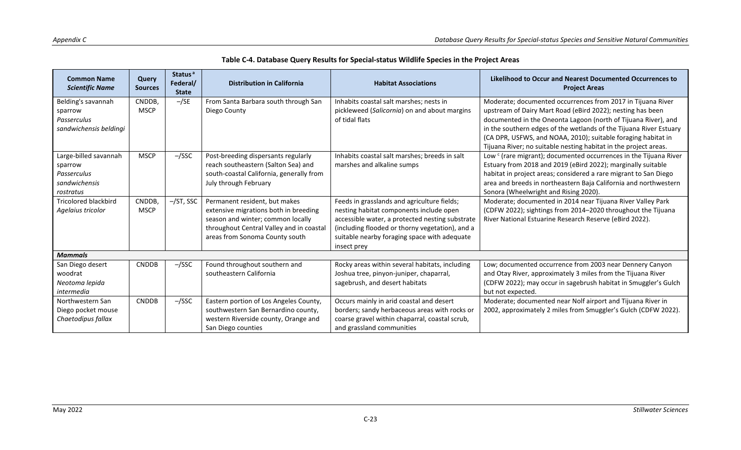| <b>Common Name</b><br><b>Scientific Name</b> | Query<br><b>Sources</b> | Status <sup>a</sup><br>Federal/<br><b>State</b> | <b>Distribution in California</b>        | <b>Habitat Associations</b>                     | Likelihood to Occur and Nearest Documented Occurrences to<br><b>Project Areas</b> |
|----------------------------------------------|-------------------------|-------------------------------------------------|------------------------------------------|-------------------------------------------------|-----------------------------------------------------------------------------------|
| Belding's savannah                           | CNDDB,                  | $-\sqrt{SE}$                                    | From Santa Barbara south through San     | Inhabits coastal salt marshes; nests in         | Moderate; documented occurrences from 2017 in Tijuana River                       |
| sparrow                                      | <b>MSCP</b>             |                                                 | Diego County                             | pickleweed (Salicornia) on and about margins    | upstream of Dairy Mart Road (eBird 2022); nesting has been                        |
| Passerculus                                  |                         |                                                 |                                          | of tidal flats                                  | documented in the Oneonta Lagoon (north of Tijuana River), and                    |
| sandwichensis beldingi                       |                         |                                                 |                                          |                                                 | in the southern edges of the wetlands of the Tijuana River Estuary                |
|                                              |                         |                                                 |                                          |                                                 | (CA DPR, USFWS, and NOAA, 2010); suitable foraging habitat in                     |
|                                              |                         |                                                 |                                          |                                                 | Tijuana River; no suitable nesting habitat in the project areas.                  |
| Large-billed savannah                        | <b>MSCP</b>             | $-\sqrt{SSC}$                                   | Post-breeding dispersants regularly      | Inhabits coastal salt marshes; breeds in salt   | Low $c$ (rare migrant); documented occurrences in the Tijuana River               |
| sparrow                                      |                         |                                                 | reach southeastern (Salton Sea) and      | marshes and alkaline sumps                      | Estuary from 2018 and 2019 (eBird 2022); marginally suitable                      |
| Passerculus                                  |                         |                                                 | south-coastal California, generally from |                                                 | habitat in project areas; considered a rare migrant to San Diego                  |
| sandwichensis                                |                         |                                                 | July through February                    |                                                 | area and breeds in northeastern Baja California and northwestern                  |
| rostratus                                    |                         |                                                 |                                          |                                                 | Sonora (Wheelwright and Rising 2020).                                             |
| <b>Tricolored blackbird</b>                  | CNDDB,                  | $-\sqrt{ST}$ , SSC                              | Permanent resident, but makes            | Feeds in grasslands and agriculture fields;     | Moderate; documented in 2014 near Tijuana River Valley Park                       |
| Agelaius tricolor                            | <b>MSCP</b>             |                                                 | extensive migrations both in breeding    | nesting habitat components include open         | (CDFW 2022); sightings from 2014-2020 throughout the Tijuana                      |
|                                              |                         |                                                 | season and winter; common locally        | accessible water, a protected nesting substrate | River National Estuarine Research Reserve (eBird 2022).                           |
|                                              |                         |                                                 | throughout Central Valley and in coastal | (including flooded or thorny vegetation), and a |                                                                                   |
|                                              |                         |                                                 | areas from Sonoma County south           | suitable nearby foraging space with adequate    |                                                                                   |
|                                              |                         |                                                 |                                          | insect prey                                     |                                                                                   |
| <b>Mammals</b>                               |                         |                                                 |                                          |                                                 |                                                                                   |
| San Diego desert                             | <b>CNDDB</b>            | $-\sqrt{SSC}$                                   | Found throughout southern and            | Rocky areas within several habitats, including  | Low; documented occurrence from 2003 near Dennery Canyon                          |
| woodrat                                      |                         |                                                 | southeastern California                  | Joshua tree, pinyon-juniper, chaparral,         | and Otay River, approximately 3 miles from the Tijuana River                      |
| Neotoma lepida                               |                         |                                                 |                                          | sagebrush, and desert habitats                  | (CDFW 2022); may occur in sagebrush habitat in Smuggler's Gulch                   |
| intermedia                                   |                         |                                                 |                                          |                                                 | but not expected.                                                                 |
| Northwestern San                             | <b>CNDDB</b>            | $-\sqrt{SSC}$                                   | Eastern portion of Los Angeles County,   | Occurs mainly in arid coastal and desert        | Moderate; documented near Nolf airport and Tijuana River in                       |
| Diego pocket mouse                           |                         |                                                 | southwestern San Bernardino county,      | borders; sandy herbaceous areas with rocks or   | 2002, approximately 2 miles from Smuggler's Gulch (CDFW 2022).                    |
| Chaetodipus fallax                           |                         |                                                 | western Riverside county, Orange and     | coarse gravel within chaparral, coastal scrub,  |                                                                                   |
|                                              |                         |                                                 | San Diego counties                       | and grassland communities                       |                                                                                   |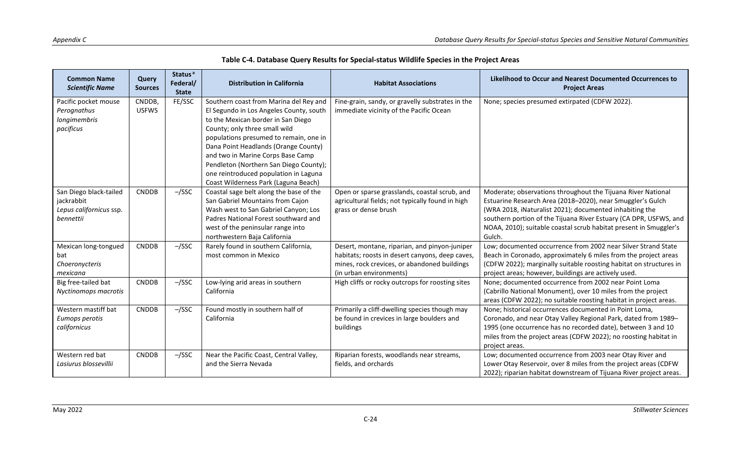| Table C-4. Database Query Results for Special-status Wildlife Species in the Project Areas |  |  |
|--------------------------------------------------------------------------------------------|--|--|
|                                                                                            |  |  |

| <b>Common Name</b><br><b>Scientific Name</b> | Query<br><b>Sources</b> | Status <sup>a</sup><br>Federal/<br><b>State</b> | <b>Distribution in California</b>       | <b>Habitat Associations</b>                      | Likelihood to Occur and Nearest Documented Occurrences to<br><b>Project Areas</b> |
|----------------------------------------------|-------------------------|-------------------------------------------------|-----------------------------------------|--------------------------------------------------|-----------------------------------------------------------------------------------|
| Pacific pocket mouse                         | CNDDB,                  | FE/SSC                                          | Southern coast from Marina del Rey and  | Fine-grain, sandy, or gravelly substrates in the | None; species presumed extirpated (CDFW 2022).                                    |
| Perognathus                                  | <b>USFWS</b>            |                                                 | El Segundo in Los Angeles County, south | immediate vicinity of the Pacific Ocean          |                                                                                   |
| longimembris                                 |                         |                                                 | to the Mexican border in San Diego      |                                                  |                                                                                   |
| pacificus                                    |                         |                                                 | County; only three small wild           |                                                  |                                                                                   |
|                                              |                         |                                                 | populations presumed to remain, one in  |                                                  |                                                                                   |
|                                              |                         |                                                 | Dana Point Headlands (Orange County)    |                                                  |                                                                                   |
|                                              |                         |                                                 | and two in Marine Corps Base Camp       |                                                  |                                                                                   |
|                                              |                         |                                                 | Pendleton (Northern San Diego County);  |                                                  |                                                                                   |
|                                              |                         |                                                 | one reintroduced population in Laguna   |                                                  |                                                                                   |
|                                              |                         |                                                 | Coast Wilderness Park (Laguna Beach)    |                                                  |                                                                                   |
| San Diego black-tailed                       | <b>CNDDB</b>            | $-\sqrt{SSC}$                                   | Coastal sage belt along the base of the | Open or sparse grasslands, coastal scrub, and    | Moderate; observations throughout the Tijuana River National                      |
| jackrabbit                                   |                         |                                                 | San Gabriel Mountains from Cajon        | agricultural fields; not typically found in high | Estuarine Research Area (2018-2020), near Smuggler's Gulch                        |
| Lepus californicus ssp.                      |                         |                                                 | Wash west to San Gabriel Canyon; Los    | grass or dense brush                             | (WRA 2018, iNaturalist 2021); documented inhabiting the                           |
| bennettii                                    |                         |                                                 | Padres National Forest southward and    |                                                  | southern portion of the Tijuana River Estuary (CA DPR, USFWS, and                 |
|                                              |                         |                                                 | west of the peninsular range into       |                                                  | NOAA, 2010); suitable coastal scrub habitat present in Smuggler's                 |
|                                              |                         |                                                 | northwestern Baja California            |                                                  | Gulch.                                                                            |
| Mexican long-tongued                         | <b>CNDDB</b>            | $-\sqrt{SSC}$                                   | Rarely found in southern California,    | Desert, montane, riparian, and pinyon-juniper    | Low; documented occurrence from 2002 near Silver Strand State                     |
| bat                                          |                         |                                                 | most common in Mexico                   | habitats; roosts in desert canyons, deep caves,  | Beach in Coronado, approximately 6 miles from the project areas                   |
| Choeronycteris                               |                         |                                                 |                                         | mines, rock crevices, or abandoned buildings     | (CDFW 2022); marginally suitable roosting habitat on structures in                |
| mexicana                                     |                         |                                                 |                                         | (in urban environments)                          | project areas; however, buildings are actively used.                              |
| Big free-tailed bat                          | <b>CNDDB</b>            | $-\sqrt{SSC}$                                   | Low-lying arid areas in southern        | High cliffs or rocky outcrops for roosting sites | None; documented occurrence from 2002 near Point Loma                             |
| Nyctinomops macrotis                         |                         |                                                 | California                              |                                                  | (Cabrillo National Monument), over 10 miles from the project                      |
|                                              |                         |                                                 |                                         |                                                  | areas (CDFW 2022); no suitable roosting habitat in project areas.                 |
| Western mastiff bat                          | <b>CNDDB</b>            | $-\sqrt{SSC}$                                   | Found mostly in southern half of        | Primarily a cliff-dwelling species though may    | None; historical occurrences documented in Point Loma,                            |
| Eumops perotis                               |                         |                                                 | California                              | be found in crevices in large boulders and       | Coronado, and near Otay Valley Regional Park, dated from 1989-                    |
| californicus                                 |                         |                                                 |                                         | buildings                                        | 1995 (one occurrence has no recorded date), between 3 and 10                      |
|                                              |                         |                                                 |                                         |                                                  | miles from the project areas (CDFW 2022); no roosting habitat in                  |
|                                              |                         |                                                 |                                         |                                                  | project areas.                                                                    |
| Western red bat                              | <b>CNDDB</b>            | $-\sqrt{SSC}$                                   | Near the Pacific Coast, Central Valley, | Riparian forests, woodlands near streams,        | Low; documented occurrence from 2003 near Otay River and                          |
| Lasiurus blossevillii                        |                         |                                                 | and the Sierra Nevada                   | fields, and orchards                             | Lower Otay Reservoir, over 8 miles from the project areas (CDFW                   |
|                                              |                         |                                                 |                                         |                                                  | 2022); riparian habitat downstream of Tijuana River project areas.                |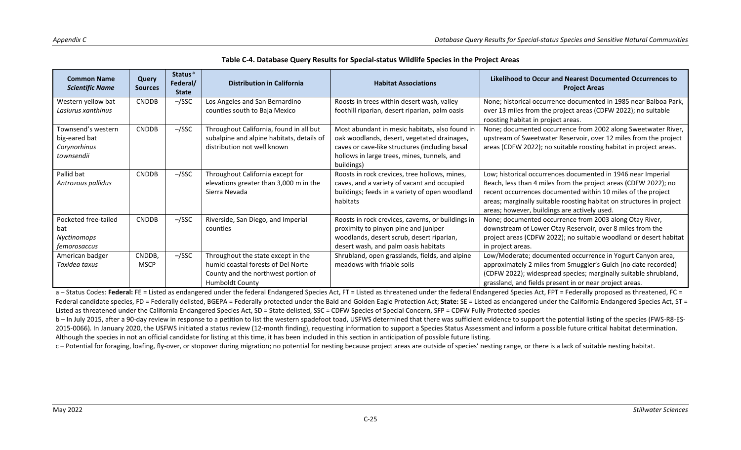| <b>Common Name</b><br><b>Scientific Name</b>                      | Query<br><b>Sources</b> | Status <sup>a</sup><br>Federal/<br><b>State</b> | <b>Distribution in California</b>                                                                                                         | <b>Habitat Associations</b>                                                                                                                                                                                  | Likelihood to Occur and Nearest Documented Occurrences to<br><b>Project Areas</b>                                                                                                                                                                                                                                       |
|-------------------------------------------------------------------|-------------------------|-------------------------------------------------|-------------------------------------------------------------------------------------------------------------------------------------------|--------------------------------------------------------------------------------------------------------------------------------------------------------------------------------------------------------------|-------------------------------------------------------------------------------------------------------------------------------------------------------------------------------------------------------------------------------------------------------------------------------------------------------------------------|
| Western yellow bat<br>Lasiurus xanthinus                          | <b>CNDDB</b>            | $-\sqrt{SSC}$                                   | Los Angeles and San Bernardino<br>counties south to Baja Mexico                                                                           | Roosts in trees within desert wash, valley<br>foothill riparian, desert riparian, palm oasis                                                                                                                 | None; historical occurrence documented in 1985 near Balboa Park,<br>over 13 miles from the project areas (CDFW 2022); no suitable<br>roosting habitat in project areas.                                                                                                                                                 |
| Townsend's western<br>big-eared bat<br>Corynorhinus<br>townsendii | <b>CNDDB</b>            | $-\sqrt{SSC}$                                   | Throughout California, found in all but<br>subalpine and alpine habitats, details of<br>distribution not well known                       | Most abundant in mesic habitats, also found in<br>oak woodlands, desert, vegetated drainages,<br>caves or cave-like structures (including basal<br>hollows in large trees, mines, tunnels, and<br>buildings) | None; documented occurrence from 2002 along Sweetwater River,<br>upstream of Sweetwater Reservoir, over 12 miles from the project<br>areas (CDFW 2022); no suitable roosting habitat in project areas.                                                                                                                  |
| Pallid bat<br>Antrozous pallidus                                  | <b>CNDDB</b>            | $-\sqrt{SSC}$                                   | Throughout California except for<br>elevations greater than 3,000 m in the<br>Sierra Nevada                                               | Roosts in rock crevices, tree hollows, mines,<br>caves, and a variety of vacant and occupied<br>buildings; feeds in a variety of open woodland<br>habitats                                                   | Low; historical occurrences documented in 1946 near Imperial<br>Beach, less than 4 miles from the project areas (CDFW 2022); no<br>recent occurrences documented within 10 miles of the project<br>areas; marginally suitable roosting habitat on structures in project<br>areas; however, buildings are actively used. |
| Pocketed free-tailed<br>bat<br>Nyctinomops<br>femorosaccus        | <b>CNDDB</b>            | $-\sqrt{SSC}$                                   | Riverside, San Diego, and Imperial<br>counties                                                                                            | Roosts in rock crevices, caverns, or buildings in<br>proximity to pinyon pine and juniper<br>woodlands, desert scrub, desert riparian,<br>desert wash, and palm oasis habitats                               | None; documented occurrence from 2003 along Otay River,<br>downstream of Lower Otay Reservoir, over 8 miles from the<br>project areas (CDFW 2022); no suitable woodland or desert habitat<br>in project areas.                                                                                                          |
| American badger<br>Taxidea taxus                                  | CNDDB,<br><b>MSCP</b>   | $-\sqrt{SSC}$                                   | Throughout the state except in the<br>humid coastal forests of Del Norte<br>County and the northwest portion of<br><b>Humboldt County</b> | Shrubland, open grasslands, fields, and alpine<br>meadows with friable soils                                                                                                                                 | Low/Moderate; documented occurrence in Yogurt Canyon area,<br>approximately 2 miles from Smuggler's Gulch (no date recorded)<br>(CDFW 2022); widespread species; marginally suitable shrubland,<br>grassland, and fields present in or near project areas.                                                              |

a – Status Codes: Federal: FE = Listed as endangered under the federal Endangered Species Act, FT = Listed as threatened under the federal Endangered Species Act, FPT = Federally proposed as threatened, FC = Federal candidate species, FD = Federally delisted, BGEPA = Federally protected under the Bald and Golden Eagle Protection Act; State: SE = Listed as endangered under the California Endangered Species Act, ST = Listed as threatened under the California Endangered Species Act, SD = State delisted, SSC = CDFW Species of Special Concern, SFP = CDFW Fully Protected species

b - In July 2015, after a 90-day review in response to a petition to list the western spadefoot toad, USFWS determined that there was sufficient evidence to support the potential listing of the species (FWS-R8-ES-2015-0066). In January 2020, the USFWS initiated a status review (12-month finding), requesting information to support a Species Status Assessment and inform a possible future critical habitat determination. Although the species in not an official candidate for listing at this time, it has been included in this section in anticipation of possible future listing.

c – Potential for foraging, loafing, fly-over, or stopover during migration; no potential for nesting because project areas are outside of species' nesting range, or there is a lack of suitable nesting habitat.